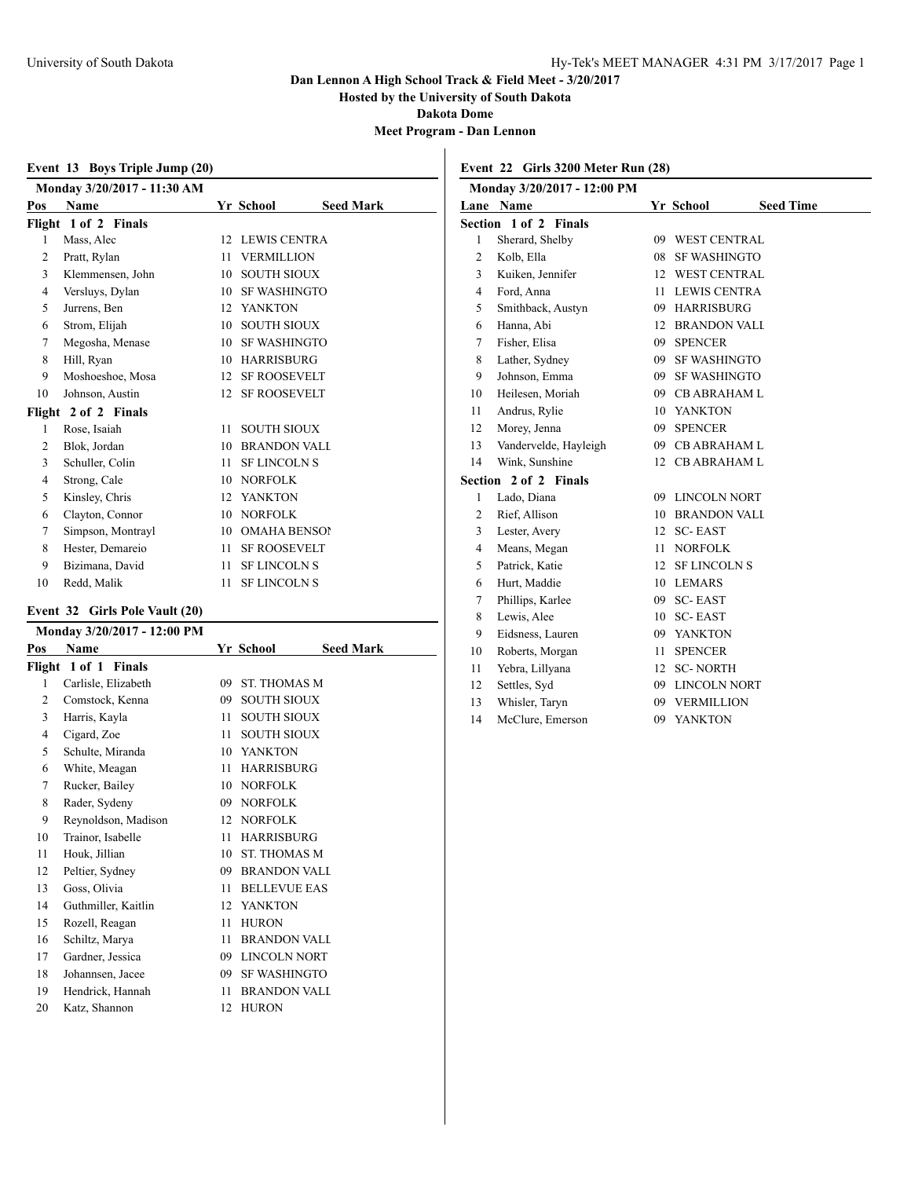**Hosted by the University of South Dakota**

**Dakota Dome**

**Meet Program - Dan Lennon**

|     | Event 13 Boys Triple Jump (20) |    |                     |                  |  |  |  |
|-----|--------------------------------|----|---------------------|------------------|--|--|--|
|     | Monday 3/20/2017 - 11:30 AM    |    |                     |                  |  |  |  |
| Pos | Name                           |    | Yr School           | <b>Seed Mark</b> |  |  |  |
|     | Flight 1 of 2 Finals           |    |                     |                  |  |  |  |
| 1   | Mass, Alec                     | 12 | <b>LEWIS CENTRA</b> |                  |  |  |  |
| 2   | Pratt, Rylan                   | 11 | <b>VERMILLION</b>   |                  |  |  |  |
| 3   | Klemmensen, John               | 10 | <b>SOUTH SIOUX</b>  |                  |  |  |  |
| 4   | Versluys, Dylan                | 10 | <b>SF WASHINGTO</b> |                  |  |  |  |
| 5   | Jurrens, Ben                   | 12 | <b>YANKTON</b>      |                  |  |  |  |
| 6   | Strom, Elijah                  | 10 | <b>SOUTH SIOUX</b>  |                  |  |  |  |
| 7   | Megosha, Menase                | 10 | <b>SF WASHINGTO</b> |                  |  |  |  |
| 8   | Hill, Ryan                     | 10 | <b>HARRISBURG</b>   |                  |  |  |  |
| 9   | Moshoeshoe, Mosa               | 12 | <b>SF ROOSEVELT</b> |                  |  |  |  |
| 10  | Johnson, Austin                | 12 | <b>SF ROOSEVELT</b> |                  |  |  |  |
|     | Flight 2 of 2 Finals           |    |                     |                  |  |  |  |
| 1   | Rose, Isaiah                   | 11 | <b>SOUTH SIOUX</b>  |                  |  |  |  |
| 2   | Blok, Jordan                   | 10 | <b>BRANDON VALI</b> |                  |  |  |  |
| 3   | Schuller, Colin                | 11 | <b>SF LINCOLN S</b> |                  |  |  |  |
| 4   | Strong, Cale                   | 10 | <b>NORFOLK</b>      |                  |  |  |  |
| 5   | Kinsley, Chris                 | 12 | <b>YANKTON</b>      |                  |  |  |  |
| 6   | Clayton, Connor                | 10 | <b>NORFOLK</b>      |                  |  |  |  |
| 7   | Simpson, Montrayl              | 10 | <b>OMAHA BENSOI</b> |                  |  |  |  |
| 8   | Hester, Demareio               | 11 | <b>SF ROOSEVELT</b> |                  |  |  |  |
| 9   | Bizimana, David                | 11 | <b>SF LINCOLN S</b> |                  |  |  |  |
| 10  | Redd, Malik                    | 11 | <b>SF LINCOLN S</b> |                  |  |  |  |

### **Event 32 Girls Pole Vault (20)**

| Monday 3/20/2017 - 12:00 PM |                      |    |                     |                  |
|-----------------------------|----------------------|----|---------------------|------------------|
| Pos                         | Name                 |    | Yr School           | <b>Seed Mark</b> |
|                             | Flight 1 of 1 Finals |    |                     |                  |
| 1                           | Carlisle, Elizabeth  | 09 | <b>ST. THOMAS M</b> |                  |
| 2                           | Comstock, Kenna      | 09 | <b>SOUTH SIOUX</b>  |                  |
| 3                           | Harris, Kayla        | 11 | <b>SOUTH SIOUX</b>  |                  |
| 4                           | Cigard, Zoe          | 11 | <b>SOUTH SIOUX</b>  |                  |
| 5                           | Schulte, Miranda     | 10 | <b>YANKTON</b>      |                  |
| 6                           | White, Meagan        | 11 | <b>HARRISBURG</b>   |                  |
| 7                           | Rucker, Bailey       | 10 | <b>NORFOLK</b>      |                  |
| 8                           | Rader, Sydeny        | 09 | <b>NORFOLK</b>      |                  |
| 9                           | Reynoldson, Madison  | 12 | <b>NORFOLK</b>      |                  |
| 10                          | Trainor, Isabelle    | 11 | <b>HARRISBURG</b>   |                  |
| 11                          | Houk, Jillian        | 10 | ST. THOMAS M        |                  |
| 12                          | Peltier, Sydney      | 09 | <b>BRANDON VALI</b> |                  |
| 13                          | Goss, Olivia         | 11 | <b>BELLEVUE EAS</b> |                  |
| 14                          | Guthmiller, Kaitlin  | 12 | <b>YANKTON</b>      |                  |
| 15                          | Rozell, Reagan       | 11 | <b>HURON</b>        |                  |
| 16                          | Schiltz, Marya       | 11 | <b>BRANDON VALI</b> |                  |
| 17                          | Gardner, Jessica     | 09 | <b>LINCOLN NORT</b> |                  |
| 18                          | Johannsen, Jacee     | 09 | <b>SF WASHINGTO</b> |                  |
| 19                          | Hendrick, Hannah     | 11 | <b>BRANDON VALL</b> |                  |
| 20                          | Katz, Shannon        | 12 | <b>HURON</b>        |                  |

# **Event 22 Girls 3200 Meter Run (28)**

| Monday 3/20/2017 - 12:00 PM |                       |     |                               |
|-----------------------------|-----------------------|-----|-------------------------------|
|                             | Lane Name             |     | <b>Seed Time</b><br>Yr School |
|                             | Section 1 of 2 Finals |     |                               |
| 1                           | Sherard, Shelby       | 09  | <b>WEST CENTRAL</b>           |
| $\overline{2}$              | Kolb, Ella            | 08  | <b>SF WASHINGTO</b>           |
| 3                           | Kuiken, Jennifer      |     | 12 WEST CENTRAL               |
| $\overline{4}$              | Ford, Anna            | 11  | <b>LEWIS CENTRA</b>           |
| 5                           | Smithback, Austyn     |     | 09 HARRISBURG                 |
| 6                           | Hanna, Abi            |     | <b>12 BRANDON VALL</b>        |
| 7                           | Fisher, Elisa         | 09  | <b>SPENCER</b>                |
| 8                           | Lather, Sydney        | 09  | <b>SF WASHINGTO</b>           |
| 9                           | Johnson, Emma         | 09  | <b>SF WASHINGTO</b>           |
| 10                          | Heilesen, Moriah      | 09  | <b>CB ABRAHAM L</b>           |
| 11                          | Andrus, Rylie         |     | 10 YANKTON                    |
| 12                          | Morey, Jenna          | 09  | <b>SPENCER</b>                |
| 13                          | Vandervelde, Hayleigh | 09. | <b>CB ABRAHAM L</b>           |
| 14                          | Wink, Sunshine        |     | 12 CB ABRAHAM L               |
|                             | Section 2 of 2 Finals |     |                               |
| 1                           | Lado, Diana           |     | 09 LINCOLN NORT               |
| 2                           | Rief, Allison         |     | <b>10 BRANDON VALL</b>        |
| 3                           | Lester, Avery         | 12  | <b>SC-EAST</b>                |
| 4                           | Means, Megan          | 11  | <b>NORFOLK</b>                |
| 5                           | Patrick, Katie        | 12  | <b>SF LINCOLN S</b>           |
| 6                           | Hurt, Maddie          | 10  | <b>LEMARS</b>                 |
| 7                           | Phillips, Karlee      | 09  | <b>SC-EAST</b>                |
| 8                           | Lewis, Alee           | 10  | <b>SC-EAST</b>                |
| 9                           | Eidsness, Lauren      | 09. | <b>YANKTON</b>                |
| 10                          | Roberts, Morgan       | 11  | <b>SPENCER</b>                |
| 11                          | Yebra, Lillyana       | 12  | <b>SC-NORTH</b>               |
| 12                          | Settles, Syd          | 09  | <b>LINCOLN NORT</b>           |
| 13                          | Whisler, Taryn        | 09  | <b>VERMILLION</b>             |
| 14                          | McClure, Emerson      | 09  | <b>YANKTON</b>                |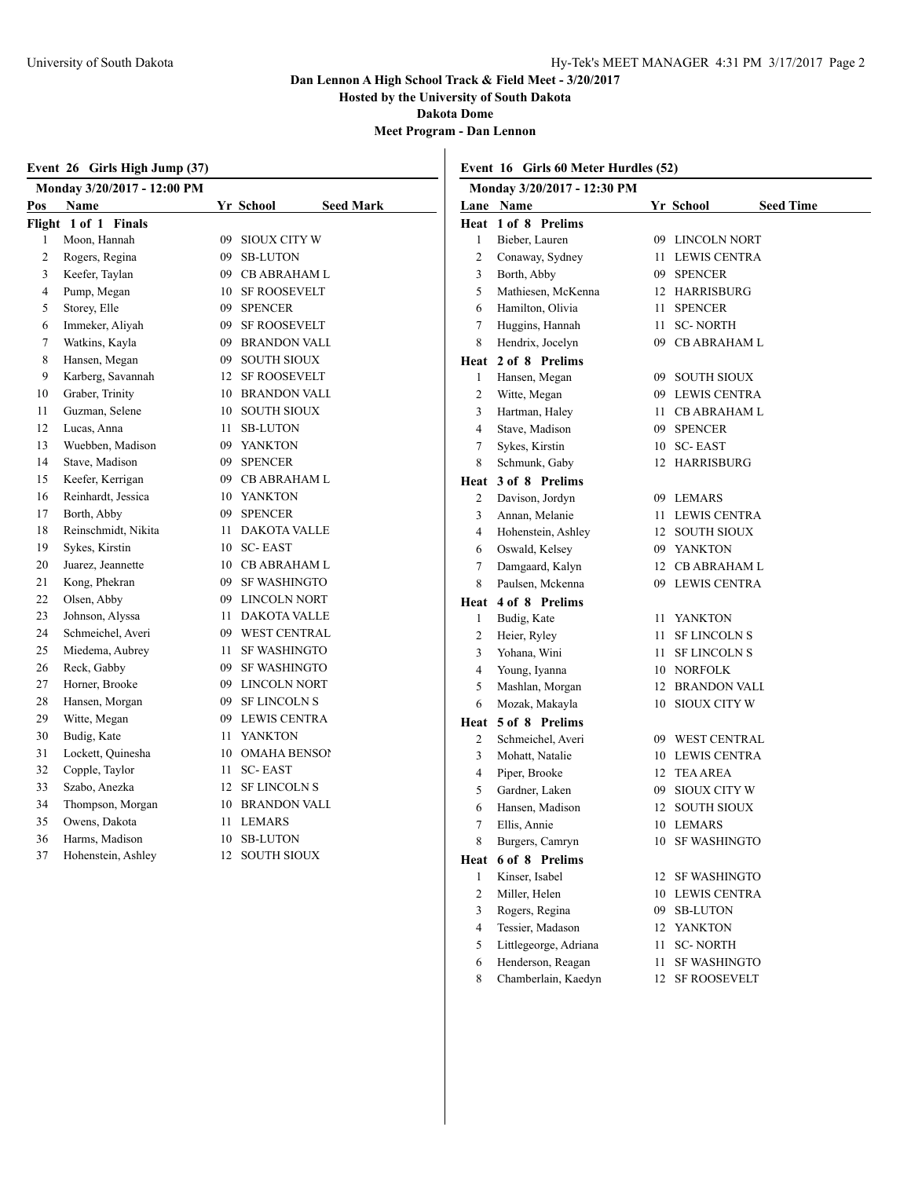**Hosted by the University of South Dakota**

**Dakota Dome**

**Meet Program - Dan Lennon**

|                | Event 26 Girls High Jump (37) |    |                               |  |  |  |
|----------------|-------------------------------|----|-------------------------------|--|--|--|
|                | Monday 3/20/2017 - 12:00 PM   |    |                               |  |  |  |
| Pos            | Name                          |    | Yr School<br><b>Seed Mark</b> |  |  |  |
|                | Flight 1 of 1 Finals          |    |                               |  |  |  |
| 1              | Moon, Hannah                  | 09 | <b>SIOUX CITY W</b>           |  |  |  |
| $\overline{c}$ | Rogers, Regina                | 09 | <b>SB-LUTON</b>               |  |  |  |
| 3              | Keefer, Taylan                | 09 | CB ABRAHAM L                  |  |  |  |
| 4              | Pump, Megan                   |    | 10 SF ROOSEVELT               |  |  |  |
| 5              | Storey, Elle                  |    | 09 SPENCER                    |  |  |  |
| 6              | Immeker, Aliyah               | 09 | <b>SF ROOSEVELT</b>           |  |  |  |
| 7              | Watkins, Kayla                | 09 | <b>BRANDON VALL</b>           |  |  |  |
| 8              | Hansen, Megan                 | 09 | <b>SOUTH SIOUX</b>            |  |  |  |
| 9              | Karberg, Savannah             | 12 | <b>SF ROOSEVELT</b>           |  |  |  |
| 10             | Graber, Trinity               |    | 10 BRANDON VALL               |  |  |  |
| 11             | Guzman, Selene                | 10 | <b>SOUTH SIOUX</b>            |  |  |  |
| 12             | Lucas, Anna                   | 11 | <b>SB-LUTON</b>               |  |  |  |
| 13             | Wuebben, Madison              |    | 09 YANKTON                    |  |  |  |
| 14             | Stave, Madison                |    | 09 SPENCER                    |  |  |  |
| 15             | Keefer, Kerrigan              | 09 | <b>CB ABRAHAM L</b>           |  |  |  |
| 16             | Reinhardt, Jessica            | 10 | YANKTON                       |  |  |  |
| 17             | Borth, Abby                   | 09 | <b>SPENCER</b>                |  |  |  |
| 18             | Reinschmidt, Nikita           | 11 | <b>DAKOTA VALLE</b>           |  |  |  |
| 19             | Sykes, Kirstin                |    | 10 SC-EAST                    |  |  |  |
| 20             | Juarez, Jeannette             | 10 | <b>CB ABRAHAM L</b>           |  |  |  |
| 21             | Kong, Phekran                 |    | 09 SF WASHINGTO               |  |  |  |
| 22             | Olsen, Abby                   |    | 09 LINCOLN NORT               |  |  |  |
| 23             | Johnson, Alyssa               | 11 | <b>DAKOTA VALLE</b>           |  |  |  |
| 24             | Schmeichel, Averi             | 09 | <b>WEST CENTRAL</b>           |  |  |  |
| 25             | Miedema, Aubrey               | 11 | <b>SF WASHINGTO</b>           |  |  |  |
| 26             | Reck, Gabby                   | 09 | <b>SF WASHINGTO</b>           |  |  |  |
| 27             | Horner, Brooke                | 09 | <b>LINCOLN NORT</b>           |  |  |  |
| 28             | Hansen, Morgan                | 09 | <b>SF LINCOLN S</b>           |  |  |  |
| 29             | Witte, Megan                  | 09 | LEWIS CENTRA                  |  |  |  |
| 30             | Budig, Kate                   | 11 | <b>YANKTON</b>                |  |  |  |
| 31             | Lockett, Quinesha             |    | 10 OMAHA BENSOI               |  |  |  |
| 32             | Copple, Taylor                | 11 | <b>SC-EAST</b>                |  |  |  |
| 33             | Szabo, Anezka                 | 12 | <b>SF LINCOLN S</b>           |  |  |  |
| 34             | Thompson, Morgan              | 10 | BRANDON VALI                  |  |  |  |
| 35             | Owens, Dakota                 | 11 | LEMARS                        |  |  |  |
| 36             | Harms, Madison                | 10 | <b>SB-LUTON</b>               |  |  |  |
| 37             | Hohenstein, Ashley            |    | 12 SOUTH SIOUX                |  |  |  |

### **Event 16 Girls 60 Meter Hurdles (52)**

|                  | Monday 3/20/2017 - 12:30 PM     |      |                                 |  |  |
|------------------|---------------------------------|------|---------------------------------|--|--|
|                  | Lane Name                       |      | Yr School<br><b>Seed Time</b>   |  |  |
| Heat             | 1 of 8 Prelims                  |      |                                 |  |  |
| 1                | Bieber, Lauren                  |      | 09 LINCOLN NORT                 |  |  |
| 2                | Conaway, Sydney                 |      | 11 LEWIS CENTRA                 |  |  |
| 3                | Borth, Abby                     |      | 09 SPENCER                      |  |  |
| 5                | Mathiesen, McKenna              |      | 12 HARRISBURG                   |  |  |
| 6                | Hamilton, Olivia                | 11 - | <b>SPENCER</b>                  |  |  |
| 7                | Huggins, Hannah                 | 11 - | <b>SC-NORTH</b>                 |  |  |
| 8                | Hendrix, Jocelyn                |      | 09 CB ABRAHAM L                 |  |  |
| Heat             | 2 of 8 Prelims                  |      |                                 |  |  |
| 1                | Hansen, Megan                   |      | 09 SOUTH SIOUX                  |  |  |
| $\mathbf{2}$     | Witte, Megan                    |      | 09 LEWIS CENTRA                 |  |  |
| 3                | Hartman, Haley                  | 11 - | <b>CB ABRAHAM L</b>             |  |  |
| $\overline{4}$   | Stave, Madison                  |      | 09 SPENCER                      |  |  |
| 7                | Sykes, Kirstin                  |      | 10 SC-EAST                      |  |  |
| 8                | Schmunk, Gaby                   |      | 12 HARRISBURG                   |  |  |
| Heat             | 3 of 8 Prelims                  |      |                                 |  |  |
| 2                | Davison, Jordyn                 |      | 09 LEMARS                       |  |  |
| 3                | Annan, Melanie                  |      | 11 LEWIS CENTRA                 |  |  |
| 4                | Hohenstein, Ashley              |      | 12 SOUTH SIOUX                  |  |  |
| 6                | Oswald, Kelsey                  |      | 09 YANKTON                      |  |  |
| 7                | Damgaard, Kalyn                 |      | 12 CB ABRAHAM L                 |  |  |
| 8                | Paulsen, Mckenna                |      | 09 LEWIS CENTRA                 |  |  |
| Heat             | 4 of 8 Prelims                  |      |                                 |  |  |
| 1                | Budig, Kate                     | 11 - | <b>YANKTON</b>                  |  |  |
| 2                | Heier, Ryley                    | 11 - | <b>SF LINCOLN S</b>             |  |  |
| 3                | Yohana, Wini                    | 11 - | <b>SF LINCOLN S</b>             |  |  |
| 4                | Young, Iyanna                   |      | 10 NORFOLK                      |  |  |
| 5<br>6           | Mashlan, Morgan                 | 12   | <b>BRANDON VALL</b>             |  |  |
|                  | Mozak, Makayla                  | 10   | <b>SIOUX CITY W</b>             |  |  |
| Heat             | 5 of 8 Prelims                  |      |                                 |  |  |
| 2                | Schmeichel, Averi               |      | 09 WEST CENTRAL                 |  |  |
| 3<br>4           | Mohatt, Natalie                 |      | 10 LEWIS CENTRA<br>12 TEA AREA  |  |  |
| 5                | Piper, Brooke<br>Gardner, Laken |      | 09 SIOUX CITY W                 |  |  |
| 6                | Hansen, Madison                 | 12   |                                 |  |  |
| 7                | Ellis, Annie                    |      | <b>SOUTH SIOUX</b><br>10 LEMARS |  |  |
| 8                | Burgers, Camryn                 |      | 10 SF WASHINGTO                 |  |  |
|                  | 6 of 8 Prelims                  |      |                                 |  |  |
| Heat<br>1        | Kinser, Isabel                  | 12   | SF WASHINGTO                    |  |  |
| $\boldsymbol{2}$ | Miller, Helen                   | 10   | <b>LEWIS CENTRA</b>             |  |  |
| 3                | Rogers, Regina                  | 09   | <b>SB-LUTON</b>                 |  |  |
| $\overline{4}$   | Tessier, Madason                | 12   | <b>YANKTON</b>                  |  |  |
| 5                | Littlegeorge, Adriana           | 11   | <b>SC-NORTH</b>                 |  |  |
| 6                | Henderson, Reagan               | 11   | <b>SF WASHINGTO</b>             |  |  |
| 8                | Chamberlain, Kaedyn             | 12   | <b>SF ROOSEVELT</b>             |  |  |
|                  |                                 |      |                                 |  |  |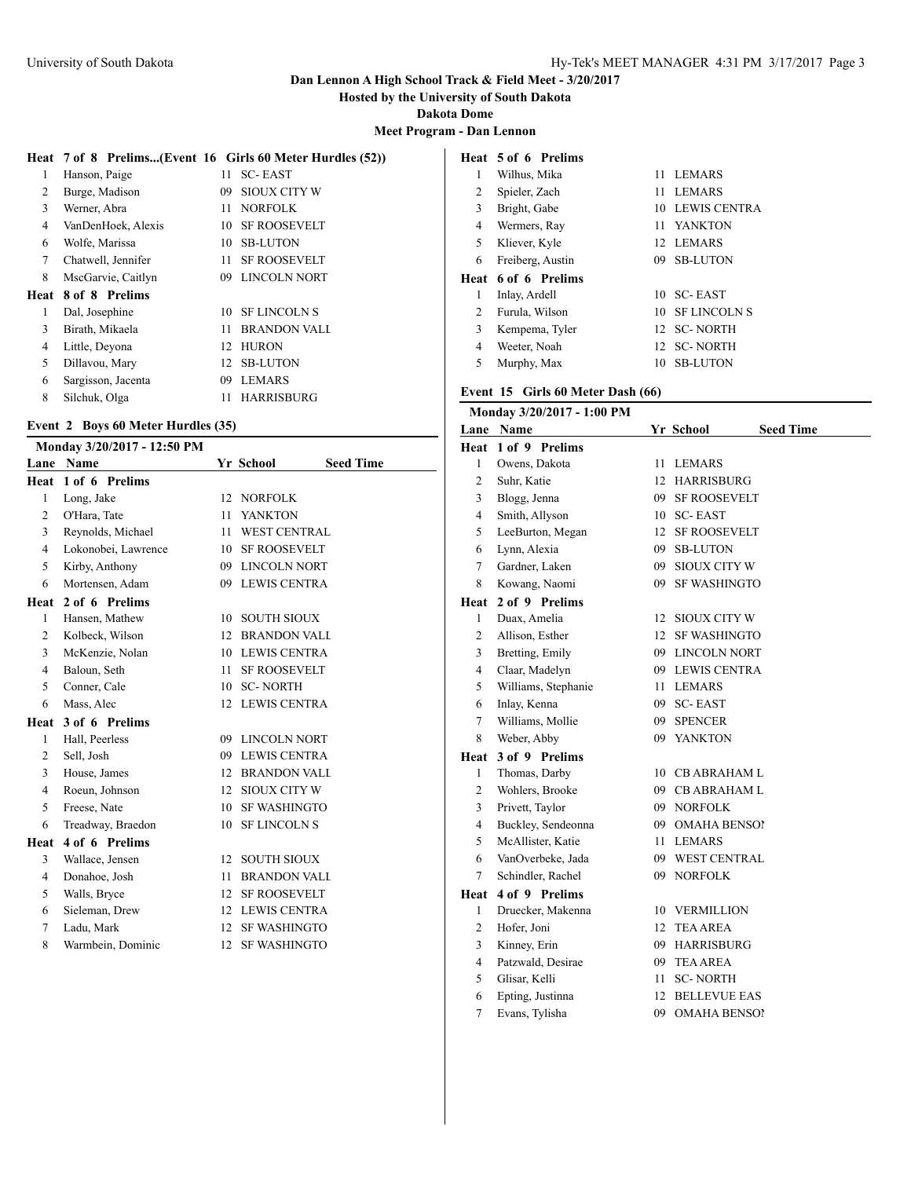**Hosted by the University of South Dakota**

**Dakota Dome**

**Meet Program - Dan Lennon**

|      |                    |    | Heat 7 of 8 Prelims(Event 16 Girls 60 Meter Hurdles (52)) |
|------|--------------------|----|-----------------------------------------------------------|
| 1    | Hanson, Paige      | 11 | <b>SC-EAST</b>                                            |
| 2    | Burge, Madison     | 09 | <b>SIOUX CITY W</b>                                       |
| 3    | Werner, Abra       | 11 | <b>NORFOLK</b>                                            |
| 4    | VanDenHoek, Alexis | 10 | <b>SF ROOSEVELT</b>                                       |
| 6    | Wolfe, Marissa     | 10 | <b>SB-LUTON</b>                                           |
| 7    | Chatwell, Jennifer | 11 | <b>SF ROOSEVELT</b>                                       |
| 8    | MscGarvie, Caitlyn | 09 | <b>LINCOLN NORT</b>                                       |
| Heat | 8 of 8 Prelims     |    |                                                           |
| 1    | Dal, Josephine     | 10 | <b>SF LINCOLN S</b>                                       |
| 3    | Birath, Mikaela    | 11 | <b>BRANDON VALL</b>                                       |
| 4    | Little, Deyona     | 12 | <b>HURON</b>                                              |
| 5    | Dillavou, Mary     | 12 | <b>SB-LUTON</b>                                           |
| 6    | Sargisson, Jacenta | 09 | <b>LEMARS</b>                                             |
| 8    | Silchuk, Olga      | 11 | <b>HARRISBURG</b>                                         |

#### **Event 2 Boys 60 Meter Hurdles (35)**

| Monday 3/20/2017 - 12:50 PM |    |                 |                                                                                                                                                                                                                                                                                                                                                                                                                                                                                                                                                                                 |
|-----------------------------|----|-----------------|---------------------------------------------------------------------------------------------------------------------------------------------------------------------------------------------------------------------------------------------------------------------------------------------------------------------------------------------------------------------------------------------------------------------------------------------------------------------------------------------------------------------------------------------------------------------------------|
| <b>Name</b>                 |    |                 | <b>Seed Time</b>                                                                                                                                                                                                                                                                                                                                                                                                                                                                                                                                                                |
| 1 of 6 Prelims              |    |                 |                                                                                                                                                                                                                                                                                                                                                                                                                                                                                                                                                                                 |
| Long, Jake                  |    |                 |                                                                                                                                                                                                                                                                                                                                                                                                                                                                                                                                                                                 |
| O'Hara, Tate                | 11 | <b>YANKTON</b>  |                                                                                                                                                                                                                                                                                                                                                                                                                                                                                                                                                                                 |
| Reynolds, Michael           |    |                 |                                                                                                                                                                                                                                                                                                                                                                                                                                                                                                                                                                                 |
| Lokonobei, Lawrence         |    |                 |                                                                                                                                                                                                                                                                                                                                                                                                                                                                                                                                                                                 |
| Kirby, Anthony              |    |                 |                                                                                                                                                                                                                                                                                                                                                                                                                                                                                                                                                                                 |
| Mortensen, Adam             |    |                 |                                                                                                                                                                                                                                                                                                                                                                                                                                                                                                                                                                                 |
| 2 of 6 Prelims              |    |                 |                                                                                                                                                                                                                                                                                                                                                                                                                                                                                                                                                                                 |
| Hansen, Mathew              | 10 |                 |                                                                                                                                                                                                                                                                                                                                                                                                                                                                                                                                                                                 |
| Kolbeck, Wilson             |    |                 |                                                                                                                                                                                                                                                                                                                                                                                                                                                                                                                                                                                 |
| McKenzie, Nolan             |    |                 |                                                                                                                                                                                                                                                                                                                                                                                                                                                                                                                                                                                 |
| Baloun, Seth                |    |                 |                                                                                                                                                                                                                                                                                                                                                                                                                                                                                                                                                                                 |
| Conner, Cale                |    | <b>SC-NORTH</b> |                                                                                                                                                                                                                                                                                                                                                                                                                                                                                                                                                                                 |
| Mass, Alec                  |    |                 |                                                                                                                                                                                                                                                                                                                                                                                                                                                                                                                                                                                 |
| 3 of 6 Prelims              |    |                 |                                                                                                                                                                                                                                                                                                                                                                                                                                                                                                                                                                                 |
| Hall, Peerless              |    |                 |                                                                                                                                                                                                                                                                                                                                                                                                                                                                                                                                                                                 |
| Sell, Josh                  |    |                 |                                                                                                                                                                                                                                                                                                                                                                                                                                                                                                                                                                                 |
| House, James                |    |                 |                                                                                                                                                                                                                                                                                                                                                                                                                                                                                                                                                                                 |
| Roeun, Johnson              |    |                 |                                                                                                                                                                                                                                                                                                                                                                                                                                                                                                                                                                                 |
| Freese, Nate                |    |                 |                                                                                                                                                                                                                                                                                                                                                                                                                                                                                                                                                                                 |
| Treadway, Braedon           |    |                 |                                                                                                                                                                                                                                                                                                                                                                                                                                                                                                                                                                                 |
| 4 of 6 Prelims              |    |                 |                                                                                                                                                                                                                                                                                                                                                                                                                                                                                                                                                                                 |
| Wallace, Jensen             |    |                 |                                                                                                                                                                                                                                                                                                                                                                                                                                                                                                                                                                                 |
| Donahoe, Josh               | 11 |                 |                                                                                                                                                                                                                                                                                                                                                                                                                                                                                                                                                                                 |
| Walls, Bryce                |    |                 |                                                                                                                                                                                                                                                                                                                                                                                                                                                                                                                                                                                 |
| Sieleman, Drew              |    |                 |                                                                                                                                                                                                                                                                                                                                                                                                                                                                                                                                                                                 |
| Ladu, Mark                  |    |                 |                                                                                                                                                                                                                                                                                                                                                                                                                                                                                                                                                                                 |
| Warmbein, Dominic           |    |                 |                                                                                                                                                                                                                                                                                                                                                                                                                                                                                                                                                                                 |
|                             |    |                 | Yr School<br>12 NORFOLK<br><b>WEST CENTRAL</b><br>11.<br><b>SF ROOSEVELT</b><br>10<br>09 LINCOLN NORT<br>09 LEWIS CENTRA<br><b>SOUTH SIOUX</b><br>12 BRANDON VALI<br>10 LEWIS CENTRA<br><b>SF ROOSEVELT</b><br>11<br>10<br><b>LEWIS CENTRA</b><br>12 <sup>12</sup><br>09 LINCOLN NORT<br>09 LEWIS CENTRA<br>12 BRANDON VALI<br>12 SIOUX CITY W<br><b>SF WASHINGTO</b><br>10<br>10<br><b>SF LINCOLN S</b><br><b>SOUTH SIOUX</b><br>$12^{\circ}$<br><b>BRANDON VALI</b><br>12 SF ROOSEVELT<br><b>LEWIS CENTRA</b><br>12<br><b>SF WASHINGTO</b><br>12<br><b>SF WASHINGTO</b><br>12 |

### **Heat 5 of 6 Prelims** Wilhus, Mika 11 LEMARS Spieler, Zach 11 LEMARS Bright, Gabe 10 LEWIS CENTRA Wermers, Ray 11 YANKTON Kliever, Kyle 12 LEMARS 6 Freiberg, Austin **Heat 6 of 6 Prelims** Inlay, Ardell 10 SC- EAST 2 Furula, Wilson 10 SF LINCOLN S Kempema, Tyler 12 SC- NORTH Weeter, Noah 12 SC- NORTH Murphy, Max 10 SB-LUTON

#### **Event 15 Girls 60 Meter Dash (66)**

|                | Monday 3/20/2017 - 1:00 PM |    |                               |
|----------------|----------------------------|----|-------------------------------|
|                | Lane Name                  |    | <b>Seed Time</b><br>Yr School |
| Heat           | 1 of 9 Prelims             |    |                               |
| $\mathbf{1}$   | Owens, Dakota              | 11 | <b>LEMARS</b>                 |
| $\overline{2}$ | Suhr, Katie                | 12 | <b>HARRISBURG</b>             |
| 3              | Blogg, Jenna               | 09 | <b>SF ROOSEVELT</b>           |
| $\overline{4}$ | Smith, Allyson             | 10 | <b>SC-EAST</b>                |
| 5              | LeeBurton, Megan           | 12 | <b>SF ROOSEVELT</b>           |
| 6              | Lynn, Alexia               | 09 | <b>SB-LUTON</b>               |
| 7              | Gardner, Laken             | 09 | <b>SIOUX CITY W</b>           |
| 8              | Kowang, Naomi              | 09 | <b>SF WASHINGTO</b>           |
| Heat           | 2 of 9 Prelims             |    |                               |
| 1              | Duax, Amelia               | 12 | <b>SIOUX CITY W</b>           |
| $\overline{c}$ | Allison, Esther            | 12 | <b>SF WASHINGTO</b>           |
| 3              | Bretting, Emily            |    | 09 LINCOLN NORT               |
| 4              | Claar, Madelyn             | 09 | <b>LEWIS CENTRA</b>           |
| 5              | Williams, Stephanie        | 11 | <b>LEMARS</b>                 |
| 6              | Inlay, Kenna               | 09 | SC- EAST                      |
| $\tau$         | Williams, Mollie           | 09 | <b>SPENCER</b>                |
| 8              | Weber, Abby                | 09 | <b>YANKTON</b>                |
| Heat           | 3 of 9 Prelims             |    |                               |
| 1              | Thomas, Darby              | 10 | <b>CB ABRAHAM L</b>           |
| $\overline{c}$ | Wohlers, Brooke            |    | 09 CB ABRAHAM L               |
| 3              | Privett, Taylor            |    | 09 NORFOLK                    |
| 4              | Buckley, Sendeonna         |    | 09 OMAHA BENSOI               |
| 5              | McAllister, Katie          | 11 | <b>LEMARS</b>                 |
| 6              | VanOverbeke, Jada          |    | 09 WEST CENTRAL               |
| 7              | Schindler, Rachel          |    | 09 NORFOLK                    |
| Heat           | 4 of 9 Prelims             |    |                               |
| 1              | Druecker, Makenna          | 10 | VERMILLION                    |
| $\overline{2}$ | Hofer, Joni                | 12 | <b>TEA AREA</b>               |
| 3              | Kinney, Erin               | 09 | <b>HARRISBURG</b>             |
| 4              | Patzwald, Desirae          | 09 | <b>TEA AREA</b>               |
| 5              | Glisar, Kelli              | 11 | <b>SC-NORTH</b>               |
| 6              | Epting, Justinna           | 12 | <b>BELLEVUE EAS</b>           |
| 7              | Evans, Tylisha             | 09 | <b>OMAHA BENSO!</b>           |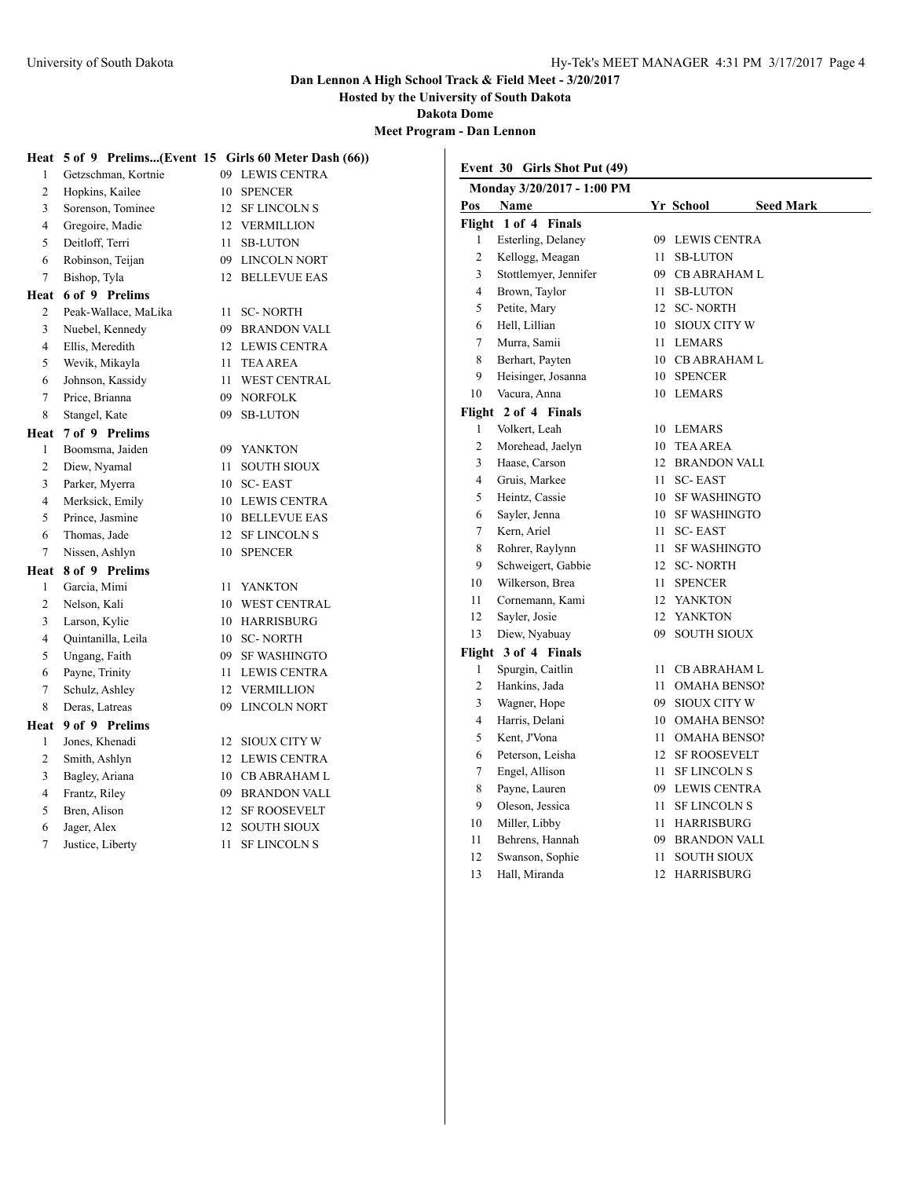**Hosted by the University of South Dakota**

**Dakota Dome**

**Meet Program - Dan Lennon**

|                 |                                      | Heat 5 of 9 Prelims(Event 15 Girls 60 Meter Dash (66)) |                | Event 30 Girls Shot Put (49) |    |                     |                  |
|-----------------|--------------------------------------|--------------------------------------------------------|----------------|------------------------------|----|---------------------|------------------|
| 1               | Getzschman, Kortnie                  | <b>LEWIS CENTRA</b><br>09                              |                | Monday 3/20/2017 - 1:00 PM   |    |                     |                  |
| 2               | Hopkins, Kailee<br>Sorenson, Tominee | <b>SPENCER</b><br>10                                   | Pos            | Name                         |    | Yr School           | <b>Seed Mark</b> |
| 3               |                                      | SF LINCOLN S<br>12                                     |                | Flight 1 of 4 Finals         |    |                     |                  |
| 4               | Gregoire, Madie                      | VERMILLION<br>12                                       | 1              | Esterling, Delaney           |    | 09 LEWIS CENTRA     |                  |
| 5               | Deitloff, Terri                      | <b>SB-LUTON</b><br>11                                  | $\overline{c}$ | Kellogg, Meagan              | 11 | <b>SB-LUTON</b>     |                  |
| 6               | Robinson, Teijan                     | 09<br>LINCOLN NORT                                     | 3              | Stottlemyer, Jennifer        | 09 | <b>CB ABRAHAM L</b> |                  |
| 7               | Bishop, Tyla                         | <b>BELLEVUE EAS</b><br>12                              | 4              | Brown, Taylor                |    | 11 SB-LUTON         |                  |
| Heat            | 6 of 9 Prelims                       |                                                        | 5              | Petite, Mary                 |    | 12 SC-NORTH         |                  |
| 2               | Peak-Wallace, MaLika                 | <b>SC-NORTH</b><br>11                                  | 6              | Hell, Lillian                |    | 10 SIOUX CITY W     |                  |
| 3               | Nuebel, Kennedy                      | <b>BRANDON VALL</b><br>09                              | 7              | Murra, Samii                 |    | 11 LEMARS           |                  |
| 4               | Ellis, Meredith                      | 12 LEWIS CENTRA                                        | 8              | Berhart, Payten              |    | 10 CB ABRAHAM L     |                  |
| 5               | Wevik, Mikayla                       | <b>TEA AREA</b><br>11                                  | 9              | Heisinger, Josanna           |    | 10 SPENCER          |                  |
| 6               | Johnson, Kassidy                     | <b>WEST CENTRAL</b><br>11                              | 10             | Vacura, Anna                 |    | 10 LEMARS           |                  |
| $7\phantom{.0}$ | Price, Brianna                       | <b>NORFOLK</b><br>09                                   |                | Flight 2 of 4 Finals         |    |                     |                  |
| 8               | Stangel, Kate                        | <b>SB-LUTON</b><br>09                                  | 1              | Volkert, Leah                |    | 10 LEMARS           |                  |
| Heat            | 7 of 9 Prelims<br>Boomsma, Jaiden    |                                                        | $\overline{c}$ | Morehead, Jaelyn             |    | 10 TEA AREA         |                  |
| -1              |                                      | <b>YANKTON</b><br>09                                   | 3              | Haase, Carson                |    | 12 BRANDON VALL     |                  |
| 2               | Diew, Nyamal                         | <b>SOUTH SIOUX</b><br>11                               | 4              | Gruis, Markee                |    | 11 SC-EAST          |                  |
| 3               | Parker, Myerra                       | <b>SC-EAST</b><br>10                                   | 5              | Heintz, Cassie               |    | 10 SF WASHINGTO     |                  |
| 4               | Merksick, Emily                      | <b>LEWIS CENTRA</b><br>10                              | 6              | Sayler, Jenna                |    | 10 SF WASHINGTO     |                  |
| 5               | Prince, Jasmine                      | <b>BELLEVUE EAS</b><br>10                              | $\overline{7}$ | Kern, Ariel                  |    | 11 SC-EAST          |                  |
| 6<br>7          | Thomas, Jade<br>Nissen, Ashlyn       | <b>SF LINCOLN S</b><br>12<br>10 SPENCER                | 8              | Rohrer, Raylynn              |    | 11 SF WASHINGTO     |                  |
|                 |                                      |                                                        | 9              | Schweigert, Gabbie           |    | 12 SC-NORTH         |                  |
| Heat            | 8 of 9 Prelims<br>Garcia, Mimi       |                                                        | 10             | Wilkerson, Brea              |    | 11 SPENCER          |                  |
| 1               |                                      | YANKTON<br>11                                          | 11             | Cornemann, Kami              |    | 12 YANKTON          |                  |
| 2               | Nelson, Kali<br>Larson, Kylie        | <b>WEST CENTRAL</b><br>10<br><b>HARRISBURG</b>         | 12             | Sayler, Josie                |    | 12 YANKTON          |                  |
| 3               | Quintanilla, Leila                   | 10                                                     | 13             | Diew, Nyabuay                | 09 | <b>SOUTH SIOUX</b>  |                  |
| 4               |                                      | <b>SC-NORTH</b><br>10                                  |                | Flight 3 of 4 Finals         |    |                     |                  |
| 5<br>6          | Ungang, Faith<br>Payne, Trinity      | <b>SF WASHINGTO</b><br>09<br><b>LEWIS CENTRA</b><br>11 |                | Spurgin, Caitlin             |    | 11 CB ABRAHAM L     |                  |
| 7               | Schulz, Ashley                       | VERMILLION<br>12                                       | $\overline{c}$ | Hankins, Jada                | 11 | <b>OMAHA BENSO!</b> |                  |
| 8               | Deras, Latreas                       | <b>LINCOLN NORT</b><br>09                              | 3              | Wagner, Hope                 | 09 | <b>SIOUX CITY W</b> |                  |
|                 | 9 of 9 Prelims                       |                                                        | 4              | Harris, Delani               | 10 | <b>OMAHA BENSOI</b> |                  |
| Heat<br>1       | Jones, Khenadi                       | <b>SIOUX CITY W</b><br>12                              | 5              | Kent, J'Vona                 | 11 | <b>OMAHA BENSO!</b> |                  |
| 2               | Smith, Ashlyn                        | 12 LEWIS CENTRA                                        | 6              | Peterson, Leisha             |    | 12 SF ROOSEVELT     |                  |
| 3               | Bagley, Ariana                       |                                                        | 7              | Engel, Allison               | 11 | <b>SF LINCOLN S</b> |                  |
| 4               | Frantz, Riley                        | <b>CB ABRAHAM L</b><br>10<br><b>BRANDON VALI</b><br>09 | 8              | Payne, Lauren                | 09 | LEWIS CENTRA        |                  |
| 5               | Bren, Alison                         | <b>SF ROOSEVELT</b><br>12                              | 9              | Oleson, Jessica              |    | 11 SF LINCOLN S     |                  |
| 6               | Jager, Alex                          | <b>SOUTH SIOUX</b><br>12                               | 10             | Miller, Libby                |    | 11 HARRISBURG       |                  |
| 7               | Justice, Liberty                     | <b>SF LINCOLN S</b><br>11                              | 11             | Behrens, Hannah              | 09 | <b>BRANDON VALL</b> |                  |
|                 |                                      |                                                        | 12             | Swanson, Sophie              |    | 11 SOUTH SIOUX      |                  |
|                 |                                      |                                                        | 13             | Hall, Miranda                |    | 12 HARRISBURG       |                  |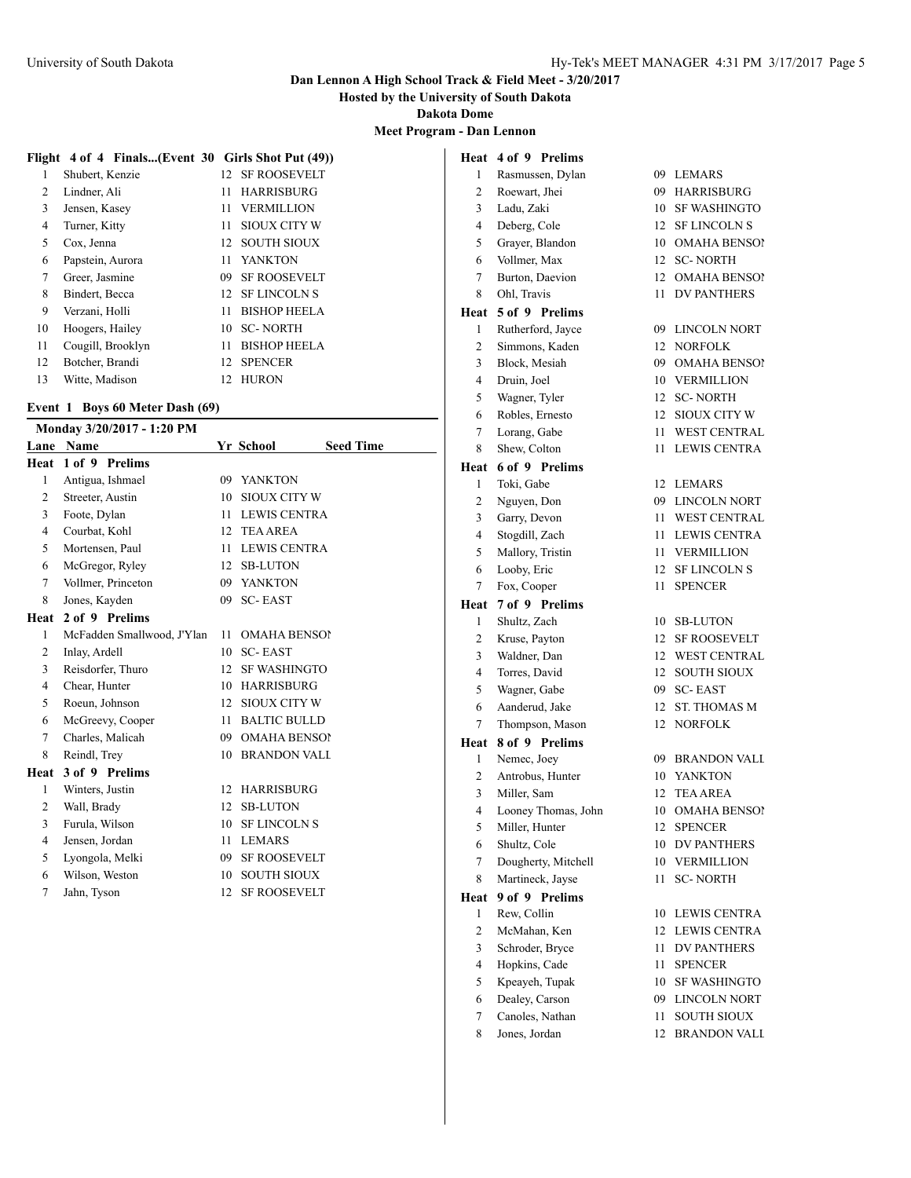**Hosted by the University of South Dakota**

**Dakota Dome**

**Meet Program - Dan Lennon**

### **Flight 4 of 4 Finals...(Event 30 Girls Shot Put (49))**

| 1              | Shubert, Kenzie   | 12 <sub>1</sub> | <b>SF ROOSEVELT</b> |
|----------------|-------------------|-----------------|---------------------|
| $\overline{c}$ | Lindner, Ali      | 11              | <b>HARRISBURG</b>   |
| 3              | Jensen, Kasey     | 11              | <b>VERMILLION</b>   |
| 4              | Turner, Kitty     | 11              | <b>SIOUX CITY W</b> |
| 5              | Cox, Jenna        | 12              | <b>SOUTH SIOUX</b>  |
| 6              | Papstein, Aurora  | 11              | <b>YANKTON</b>      |
| 7              | Greer, Jasmine    | 09              | <b>SF ROOSEVELT</b> |
| 8              | Bindert, Becca    | 12 <sub>1</sub> | <b>SF LINCOLN S</b> |
| 9              | Verzani, Holli    | 11              | <b>BISHOP HEELA</b> |
| 10             | Hoogers, Hailey   | 10              | <b>SC-NORTH</b>     |
| 11             | Cougill, Brooklyn | 11              | <b>BISHOP HEELA</b> |
| 12             | Botcher, Brandi   | 12              | <b>SPENCER</b>      |
| 13             | Witte, Madison    | 12              | <b>HURON</b>        |

### **Event 1 Boys 60 Meter Dash (69)**

|                | Monday 3/20/2017 - 1:20 PM |         |                               |  |
|----------------|----------------------------|---------|-------------------------------|--|
| Lane           | Name                       |         | <b>Seed Time</b><br>Yr School |  |
| Heat           | 1 of 9 Prelims             |         |                               |  |
| $\mathbf{1}$   | Antigua, Ishmael           | 09      | YANKTON                       |  |
| 2              | Streeter, Austin           | 10      | SIOUX CITY W                  |  |
| 3              | Foote, Dylan               |         | 11 LEWIS CENTRA               |  |
| $\overline{4}$ | Courbat, Kohl              | 12      | <b>TEA AREA</b>               |  |
| 5              | Mortensen, Paul            | 11      | <b>LEWIS CENTRA</b>           |  |
| 6              | McGregor, Ryley            |         | 12 SB-LUTON                   |  |
| $\tau$         | Vollmer, Princeton         |         | 09 YANKTON                    |  |
| 8              | Jones, Kayden              | 09      | <b>SC-EAST</b>                |  |
| Heat           | 2 of 9 Prelims             |         |                               |  |
| 1              | McFadden Smallwood, J'Ylan | 11      | <b>OMAHA BENSOI</b>           |  |
| 2              | Inlay, Ardell              | 10      | <b>SC-EAST</b>                |  |
| 3              | Reisdorfer, Thuro          | 12      | <b>SF WASHINGTO</b>           |  |
| $\overline{4}$ | Chear, Hunter              | $10-10$ | <b>HARRISBURG</b>             |  |
| 5              | Roeun, Johnson             | 12      | SIOUX CITY W                  |  |
| 6              | McGreevy, Cooper           | 11      | <b>BALTIC BULLD</b>           |  |
| 7              | Charles, Malicah           | 09      | <b>OMAHA BENSOI</b>           |  |
| 8              | Reindl, Trey               | 10      | <b>BRANDON VALI</b>           |  |
| Heat           | 3 of 9 Prelims             |         |                               |  |
| 1              | Winters, Justin            | 12      | <b>HARRISBURG</b>             |  |
| 2              | Wall, Brady                | 12      | <b>SB-LUTON</b>               |  |
| 3              | Furula, Wilson             | 10      | <b>SF LINCOLN S</b>           |  |
| $\overline{4}$ | Jensen, Jordan             | 11      | <b>LEMARS</b>                 |  |
| 5              | Lyongola, Melki            | 09      | <b>SF ROOSEVELT</b>           |  |
| 6              | Wilson, Weston             | 10      | <b>SOUTH SIOUX</b>            |  |
| $\tau$         | Jahn, Tyson                | 12      | <b>SF ROOSEVELT</b>           |  |
|                |                            |         |                               |  |

| Heat           | 4 of 9 Prelims                   |                 |                                            |
|----------------|----------------------------------|-----------------|--------------------------------------------|
| 1              | Rasmussen, Dylan                 |                 | 09 LEMARS                                  |
| $\overline{2}$ | Roewart, Jhei                    | 09              | <b>HARRISBURG</b>                          |
| 3              | Ladu, Zaki                       | 10              | <b>SF WASHINGTO</b>                        |
| $\overline{4}$ | Deberg, Cole                     | 12              | <b>SF LINCOLN S</b>                        |
| 5              | Grayer, Blandon                  | 10              | <b>OMAHA BENSO!</b>                        |
| 6              | Vollmer, Max                     | 12              | <b>SC-NORTH</b>                            |
| 7              | Burton, Daevion                  | 12              | <b>OMAHA BENSO!</b>                        |
| 8              | Ohl. Travis                      | 11.             | <b>DV PANTHERS</b>                         |
| Heat           | 5 of 9 Prelims                   |                 |                                            |
| 1              | Rutherford, Javce                | 09.             | <b>LINCOLN NORT</b>                        |
| $\overline{c}$ | Simmons, Kaden                   | 12              | <b>NORFOLK</b>                             |
| 3              | Block, Mesiah                    | 09              | <b>OMAHA BENSO!</b>                        |
| 4              | Druin, Joel                      | 10              | <b>VERMILLION</b>                          |
| 5              | Wagner, Tyler                    | 12              | <b>SC-NORTH</b>                            |
| 6              | Robles, Ernesto                  | 12              | <b>SIOUX CITY W</b>                        |
| 7              | Lorang, Gabe                     | 11.             | <b>WEST CENTRAL</b>                        |
| 8              | Shew, Colton                     | 11              | <b>LEWIS CENTRA</b>                        |
| Heat           | 6 of 9 Prelims                   |                 |                                            |
| 1              | Toki. Gabe                       | 12 <sup>°</sup> | <b>LEMARS</b>                              |
| 2              | Nguyen, Don                      | 09              | <b>LINCOLN NORT</b>                        |
| 3              | Garry, Devon                     | 11              | <b>WEST CENTRAL</b>                        |
| 4              | Stogdill, Zach                   | 11              | <b>LEWIS CENTRA</b>                        |
| 5              | Mallory, Tristin                 |                 | 11 VERMILLION                              |
| 6              | Looby, Eric                      | 12              | <b>SF LINCOLN S</b>                        |
| 7              | Fox, Cooper                      | 11              | <b>SPENCER</b>                             |
| Heat           | 7 of 9 Prelims                   |                 |                                            |
| 1              | Shultz, Zach                     | 10              | <b>SB-LUTON</b>                            |
| 2              | Kruse, Payton                    | 12              | <b>SF ROOSEVELT</b>                        |
| 3              | Waldner, Dan                     |                 | 12 WEST CENTRAL                            |
| 4              | Torres, David                    | 12              | <b>SOUTH SIOUX</b>                         |
| 5              | Wagner, Gabe                     | 09              | <b>SC-EAST</b>                             |
| 6              | Aanderud, Jake                   | 12              | <b>ST. THOMAS M</b>                        |
| 7              | Thompson, Mason                  | 12              | <b>NORFOLK</b>                             |
| Heat           | 8 of 9 Prelims                   |                 |                                            |
| 1              | Nemec, Joey                      | 09              | <b>BRANDON VALL</b>                        |
| $\overline{c}$ | Antrobus, Hunter                 | 10              | YANKTON                                    |
| 3              | Miller, Sam                      | 12              | <b>TEA AREA</b>                            |
| 4              | Looney Thomas, John              | 10              | OMAHA BENSOI                               |
| 5              | Miller, Hunter                   | 12              | <b>SPENCER</b>                             |
| 6              | Shultz, Cole                     | 10              | <b>DV PANTHERS</b>                         |
| 7              | Dougherty, Mitchell              | 10              | <b>VERMILLION</b>                          |
| 8              | Martineck, Jayse                 | 11              | <b>SC-NORTH</b>                            |
| Heat           | 9 of 9 Prelims                   |                 |                                            |
| 1              | Rew, Collin                      | 10              | <b>LEWIS CENTRA</b>                        |
| $\mathbf{2}$   | McMahan, Ken                     | 12              | <b>LEWIS CENTRA</b>                        |
| 3              | Schroder, Bryce                  | 11              | <b>DV PANTHERS</b>                         |
| 4              | Hopkins, Cade                    | 11              | <b>SPENCER</b>                             |
| 5              | Kpeayeh, Tupak<br>Dealey, Carson | 10<br>09        | <b>SF WASHINGTO</b><br><b>LINCOLN NORT</b> |
| 6<br>$\tau$    | Canoles, Nathan                  | 11              | <b>SOUTH SIOUX</b>                         |
|                |                                  |                 |                                            |

- Jones, Jordan 12 BRANDON VALL
	-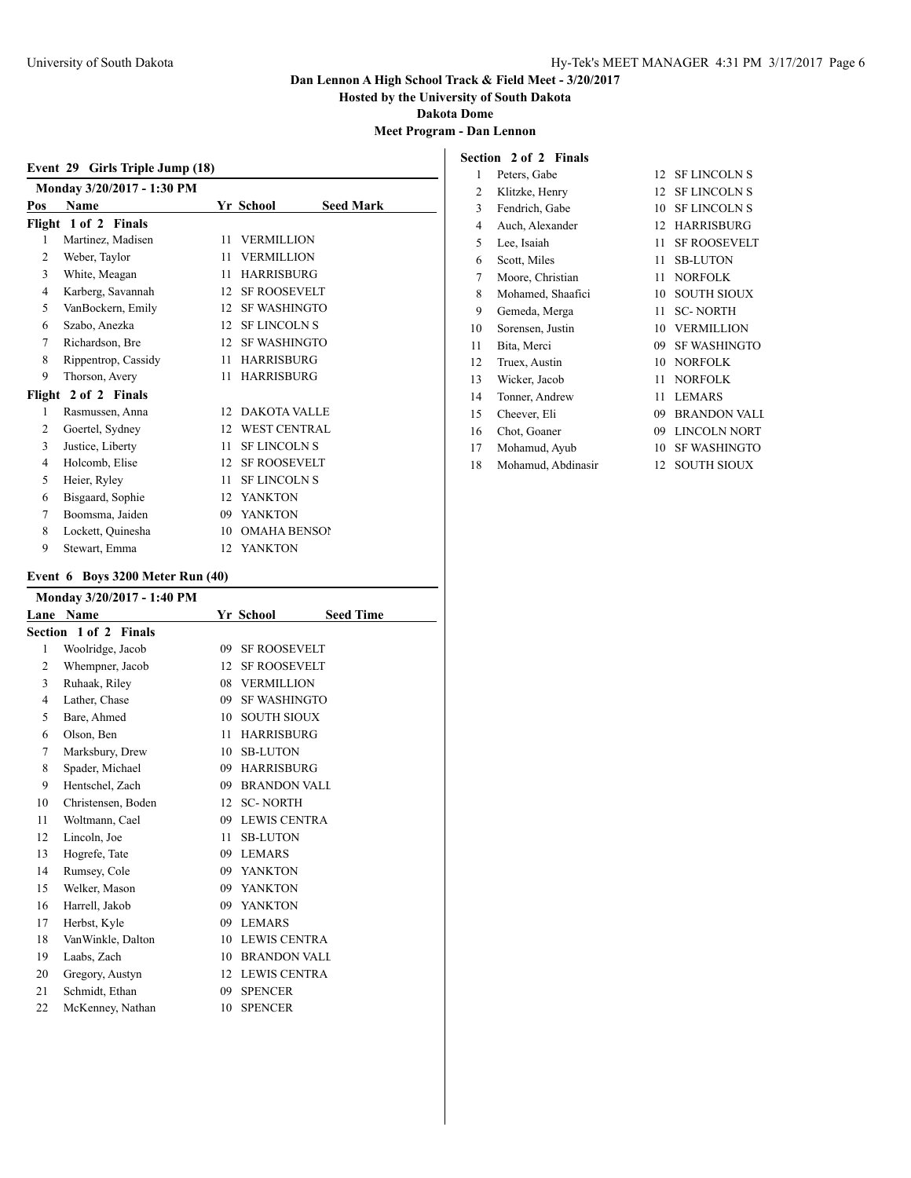**Hosted by the University of South Dakota**

**Dakota Dome**

## **Meet Program - Dan Lennon**

### **Section 2 of 2 Finals**

|     | Girls Triple Jump (18)<br>Event 29 |     |                     |                  |  |  |  |
|-----|------------------------------------|-----|---------------------|------------------|--|--|--|
|     | Monday 3/20/2017 - 1:30 PM         |     |                     |                  |  |  |  |
| Pos | <b>Name</b>                        |     | Yr School           | <b>Seed Mark</b> |  |  |  |
|     | Flight 1 of 2 Finals               |     |                     |                  |  |  |  |
| 1   | Martinez, Madisen                  | 11  | <b>VERMILLION</b>   |                  |  |  |  |
| 2   | Weber, Taylor                      | 11  | <b>VERMILLION</b>   |                  |  |  |  |
| 3   | White, Meagan                      | 11  | <b>HARRISBURG</b>   |                  |  |  |  |
| 4   | Karberg, Savannah                  | 12  | <b>SF ROOSEVELT</b> |                  |  |  |  |
| 5   | VanBockern, Emily                  | 12  | <b>SF WASHINGTO</b> |                  |  |  |  |
| 6   | Szabo, Anezka                      | 12  | <b>SF LINCOLN S</b> |                  |  |  |  |
| 7   | Richardson, Bre                    | 12  | <b>SF WASHINGTO</b> |                  |  |  |  |
| 8   | Rippentrop, Cassidy                | 11  | <b>HARRISBURG</b>   |                  |  |  |  |
| 9   | Thorson, Avery                     | 11  | <b>HARRISBURG</b>   |                  |  |  |  |
|     | Flight 2 of 2 Finals               |     |                     |                  |  |  |  |
| 1   | Rasmussen, Anna                    | 12. | <b>DAKOTA VALLE</b> |                  |  |  |  |
| 2   | Goertel, Sydney                    | 12  | <b>WEST CENTRAL</b> |                  |  |  |  |
| 3   | Justice, Liberty                   | 11  | <b>SF LINCOLN S</b> |                  |  |  |  |
| 4   | Holcomb, Elise                     | 12  | <b>SF ROOSEVELT</b> |                  |  |  |  |
| 5   | Heier, Ryley                       | 11  | <b>SF LINCOLN S</b> |                  |  |  |  |
| 6   | Bisgaard, Sophie                   | 12  | <b>YANKTON</b>      |                  |  |  |  |
| 7   | Boomsma, Jaiden                    | 09  | <b>YANKTON</b>      |                  |  |  |  |
| 8   | Lockett, Quinesha                  | 10  | <b>OMAHA BENSOI</b> |                  |  |  |  |
| 9   | Stewart, Emma                      | 12  | <b>YANKTON</b>      |                  |  |  |  |

|  | Event 6 Boys 3200 Meter Run (40) |
|--|----------------------------------|

| Monday 3/20/2017 - 1:40 PM |                       |    |                     |                  |
|----------------------------|-----------------------|----|---------------------|------------------|
| Lane                       | Name                  |    | Yr School           | <b>Seed Time</b> |
|                            | Section 1 of 2 Finals |    |                     |                  |
| 1                          | Woolridge, Jacob      | 09 | <b>SF ROOSEVELT</b> |                  |
| 2                          | Whempner, Jacob       | 12 | <b>SF ROOSEVELT</b> |                  |
| 3                          | Ruhaak, Riley         | 08 | <b>VERMILLION</b>   |                  |
| 4                          | Lather, Chase         | 09 | <b>SF WASHINGTO</b> |                  |
| 5                          | Bare, Ahmed           | 10 | <b>SOUTH SIOUX</b>  |                  |
| 6                          | Olson, Ben            | 11 | <b>HARRISBURG</b>   |                  |
| 7                          | Marksbury, Drew       | 10 | <b>SB-LUTON</b>     |                  |
| 8                          | Spader, Michael       | 09 | <b>HARRISBURG</b>   |                  |
| 9                          | Hentschel, Zach       | 09 | <b>BRANDON VALI</b> |                  |
| 10                         | Christensen, Boden    | 12 | <b>SC-NORTH</b>     |                  |
| 11                         | Woltmann, Cael        | 09 | <b>LEWIS CENTRA</b> |                  |
| 12                         | Lincoln, Joe          | 11 | <b>SB-LUTON</b>     |                  |
| 13                         | Hogrefe, Tate         | 09 | <b>LEMARS</b>       |                  |
| 14                         | Rumsey, Cole          | 09 | <b>YANKTON</b>      |                  |
| 15                         | Welker, Mason         | 09 | <b>YANKTON</b>      |                  |
| 16                         | Harrell, Jakob        | 09 | <b>YANKTON</b>      |                  |
| 17                         | Herbst, Kyle          | 09 | <b>LEMARS</b>       |                  |
| 18                         | VanWinkle, Dalton     | 10 | <b>LEWIS CENTRA</b> |                  |
| 19                         | Laabs, Zach           | 10 | <b>BRANDON VALI</b> |                  |
| 20                         | Gregory, Austyn       | 12 | LEWIS CENTRA        |                  |
| 21                         | Schmidt, Ethan        | 09 | <b>SPENCER</b>      |                  |
| 22                         | McKenney, Nathan      | 10 | <b>SPENCER</b>      |                  |

| 1  | Peters, Gabe       | 12 | <b>SF LINCOLN S</b> |
|----|--------------------|----|---------------------|
| 2  | Klitzke, Henry     | 12 | <b>SF LINCOLN S</b> |
| 3  | Fendrich, Gabe     | 10 | <b>SF LINCOLN S</b> |
| 4  | Auch, Alexander    | 12 | <b>HARRISBURG</b>   |
| 5  | Lee, Isaiah        | 11 | <b>SF ROOSEVELT</b> |
| 6  | Scott, Miles       | 11 | <b>SB-LUTON</b>     |
| 7  | Moore, Christian   | 11 | <b>NORFOLK</b>      |
| 8  | Mohamed, Shaafici  | 10 | <b>SOUTH SIOUX</b>  |
| 9  | Gemeda, Merga      | 11 | <b>SC-NORTH</b>     |
| 10 | Sorensen, Justin   | 10 | <b>VERMILLION</b>   |
| 11 | Bita, Merci        | 09 | <b>SF WASHINGTO</b> |
| 12 | Truex, Austin      | 10 | <b>NORFOLK</b>      |
| 13 | Wicker, Jacob      | 11 | <b>NORFOLK</b>      |
| 14 | Tonner, Andrew     | 11 | <b>LEMARS</b>       |
| 15 | Cheever, Eli       | 09 | <b>BRANDON VALL</b> |
| 16 | Chot, Goaner       | 09 | <b>LINCOLN NORT</b> |
| 17 | Mohamud, Ayub      | 10 | <b>SF WASHINGTO</b> |
| 18 | Mohamud, Abdinasir | 12 | <b>SOUTH SIOUX</b>  |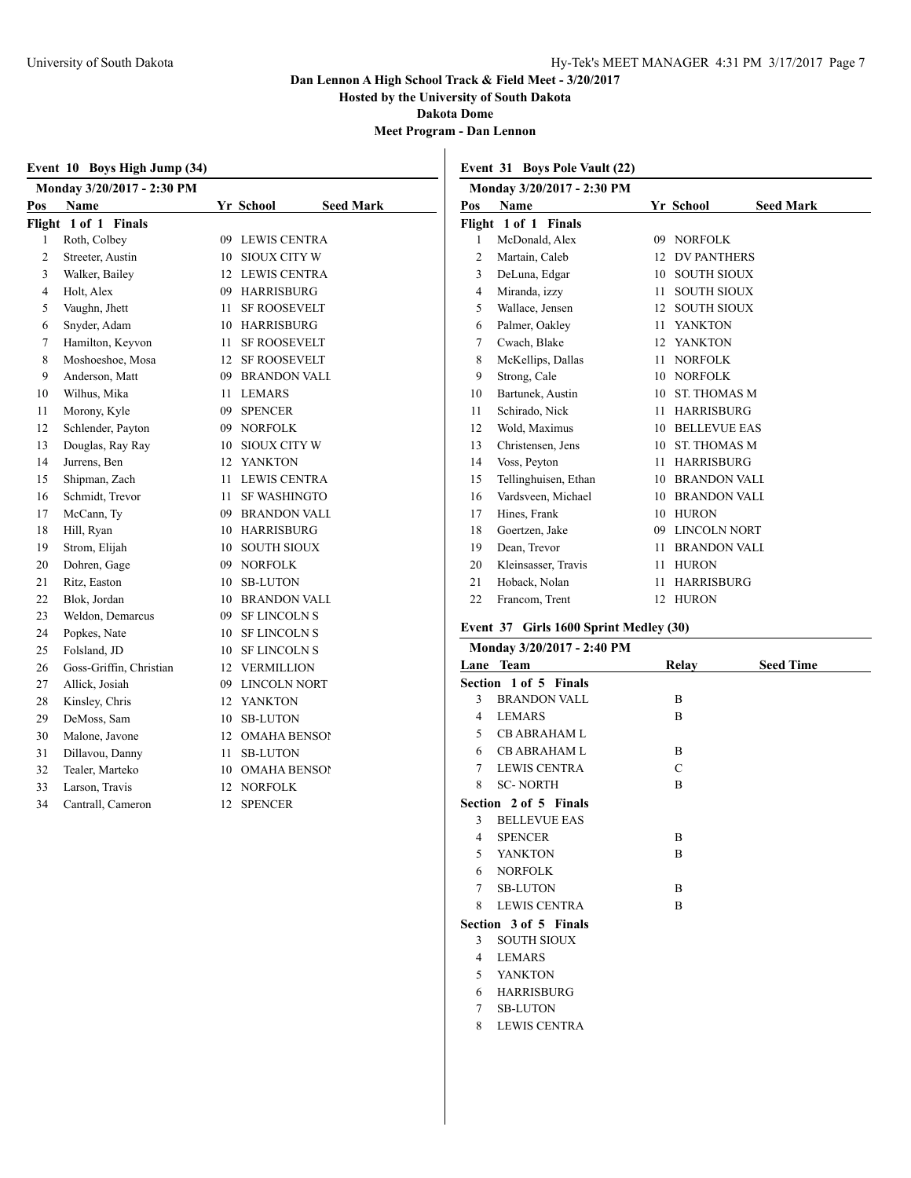**Hosted by the University of South Dakota**

**Dakota Dome**

**Meet Program - Dan Lennon**

|        | Event 10 Boys High Jump (34) |              |                               |  |  |  |  |
|--------|------------------------------|--------------|-------------------------------|--|--|--|--|
|        | Monday 3/20/2017 - 2:30 PM   |              |                               |  |  |  |  |
| Pos    | Name                         |              | Yr School<br><b>Seed Mark</b> |  |  |  |  |
| Flight | 1 of 1 Finals                |              |                               |  |  |  |  |
| 1      | Roth, Colbey                 | 09           | <b>LEWIS CENTRA</b>           |  |  |  |  |
| 2      | Streeter, Austin             | 10           | <b>SIOUX CITY W</b>           |  |  |  |  |
| 3      | Walker, Bailey               | 12           | <b>LEWIS CENTRA</b>           |  |  |  |  |
| 4      | Holt, Alex                   | 09           | <b>HARRISBURG</b>             |  |  |  |  |
| 5      | Vaughn, Jhett                | 11           | <b>SF ROOSEVELT</b>           |  |  |  |  |
| 6      | Snyder, Adam                 | 10           | <b>HARRISBURG</b>             |  |  |  |  |
| 7      | Hamilton, Keyvon             | 11           | <b>SF ROOSEVELT</b>           |  |  |  |  |
| 8      | Moshoeshoe, Mosa             | 12           | <b>SF ROOSEVELT</b>           |  |  |  |  |
| 9      | Anderson, Matt               | 09           | <b>BRANDON VALL</b>           |  |  |  |  |
| 10     | Wilhus, Mika                 | 11           | <b>LEMARS</b>                 |  |  |  |  |
| 11     | Morony, Kyle                 | 09           | <b>SPENCER</b>                |  |  |  |  |
| 12     | Schlender, Payton            | 09           | <b>NORFOLK</b>                |  |  |  |  |
| 13     | Douglas, Ray Ray             | 10           | <b>SIOUX CITY W</b>           |  |  |  |  |
| 14     | Jurrens, Ben                 | $12^{\circ}$ | <b>YANKTON</b>                |  |  |  |  |
| 15     | Shipman, Zach                | 11           | <b>LEWIS CENTRA</b>           |  |  |  |  |
| 16     | Schmidt, Trevor              | 11           | <b>SF WASHINGTO</b>           |  |  |  |  |
| 17     | McCann, Ty                   | 09           | <b>BRANDON VALL</b>           |  |  |  |  |
| 18     | Hill, Ryan                   | 10           | <b>HARRISBURG</b>             |  |  |  |  |
| 19     | Strom, Elijah                | 10           | <b>SOUTH SIOUX</b>            |  |  |  |  |
| 20     | Dohren, Gage                 | 09           | <b>NORFOLK</b>                |  |  |  |  |
| 21     | Ritz, Easton                 | 10           | <b>SB-LUTON</b>               |  |  |  |  |
| 22     | Blok, Jordan                 | 10           | <b>BRANDON VALL</b>           |  |  |  |  |
| 23     | Weldon, Demarcus             | 09           | <b>SF LINCOLN S</b>           |  |  |  |  |
| 24     | Popkes, Nate                 | 10           | <b>SF LINCOLN S</b>           |  |  |  |  |
| 25     | Folsland, JD                 | 10           | <b>SF LINCOLN S</b>           |  |  |  |  |
| 26     | Goss-Griffin, Christian      | 12           | <b>VERMILLION</b>             |  |  |  |  |
| 27     | Allick, Josiah               | 09           | LINCOLN NORT                  |  |  |  |  |
| 28     | Kinsley, Chris               | 12           | <b>YANKTON</b>                |  |  |  |  |
| 29     | DeMoss, Sam                  | 10           | <b>SB-LUTON</b>               |  |  |  |  |
| 30     | Malone, Javone               | 12           | <b>OMAHA BENSOI</b>           |  |  |  |  |
| 31     | Dillavou, Danny              | 11           | <b>SB-LUTON</b>               |  |  |  |  |
| 32     | Tealer, Marteko              | 10           | <b>OMAHA BENSOI</b>           |  |  |  |  |
| 33     | Larson, Travis               | 12           | <b>NORFOLK</b>                |  |  |  |  |
| 34     | Cantrall, Cameron            | 12           | <b>SPENCER</b>                |  |  |  |  |

**Event 31 Boys Pole Vault (22)**

| Monday 3/20/2017 - 2:30 PM |    |                               |
|----------------------------|----|-------------------------------|
| <b>Name</b>                |    | <b>Seed Mark</b><br>Yr School |
| Flight 1 of 1 Finals       |    |                               |
| McDonald, Alex             | 09 | <b>NORFOLK</b>                |
| Martain, Caleb             | 12 | <b>DV PANTHERS</b>            |
| DeLuna, Edgar              | 10 | <b>SOUTH SIOUX</b>            |
| Miranda, izzy              | 11 | <b>SOUTH SIOUX</b>            |
| Wallace, Jensen            | 12 | <b>SOUTH SIOUX</b>            |
| Palmer, Oakley             | 11 | <b>YANKTON</b>                |
| Cwach, Blake               | 12 | <b>YANKTON</b>                |
| McKellips, Dallas          | 11 | <b>NORFOLK</b>                |
| Strong, Cale               | 10 | <b>NORFOLK</b>                |
| Bartunek, Austin           | 10 | <b>ST. THOMAS M</b>           |
| Schirado, Nick             | 11 | <b>HARRISBURG</b>             |
| Wold, Maximus              | 10 | <b>BELLEVUE EAS</b>           |
| Christensen, Jens          | 10 | <b>ST. THOMAS M</b>           |
| Voss, Peyton               | 11 | <b>HARRISBURG</b>             |
| Tellinghuisen, Ethan       | 10 | <b>BRANDON VALL</b>           |
| Vardsveen, Michael         | 10 | <b>BRANDON VALL</b>           |
| Hines, Frank               | 10 | <b>HURON</b>                  |
| Goertzen, Jake             | 09 | LINCOLN NORT                  |
| Dean, Trevor               | 11 | <b>BRANDON VALL</b>           |
| Kleinsasser, Travis        | 11 | <b>HURON</b>                  |
| Hoback, Nolan              | 11 | <b>HARRISBURG</b>             |
| Francom, Trent             | 12 | <b>HURON</b>                  |
|                            |    |                               |

### **Event 37 Girls 1600 Sprint Medley (30)**

|        | Monday 3/20/2017 - 2:40 PM |       |                  |
|--------|----------------------------|-------|------------------|
|        | Lane Team                  | Relay | <b>Seed Time</b> |
|        | Section 1 of 5 Finals      |       |                  |
| 3      | <b>BRANDON VALL</b>        | B     |                  |
| 4      | <b>LEMARS</b>              | B     |                  |
| 5      | <b>CB ABRAHAM L</b>        |       |                  |
| 6      | <b>CB ABRAHAM L</b>        | B     |                  |
| 7      | <b>LEWIS CENTRA</b>        | C     |                  |
| 8      | <b>SC-NORTH</b>            | B     |                  |
|        | Section 2 of 5 Finals      |       |                  |
| 3      | <b>BELLEVUE EAS</b>        |       |                  |
| 4      | <b>SPENCER</b>             | B     |                  |
| 5      | <b>YANKTON</b>             | B     |                  |
| 6      | <b>NORFOLK</b>             |       |                  |
| $\tau$ | <b>SB-LUTON</b>            | B     |                  |
| 8      | <b>LEWIS CENTRA</b>        | B     |                  |
|        | Section 3 of 5 Finals      |       |                  |
| 3      | <b>SOUTH SIOUX</b>         |       |                  |
| 4      | <b>LEMARS</b>              |       |                  |
| 5      | <b>YANKTON</b>             |       |                  |
| 6      | <b>HARRISBURG</b>          |       |                  |
| $\tau$ | <b>SB-LUTON</b>            |       |                  |
| 8      | <b>LEWIS CENTRA</b>        |       |                  |
|        |                            |       |                  |
|        |                            |       |                  |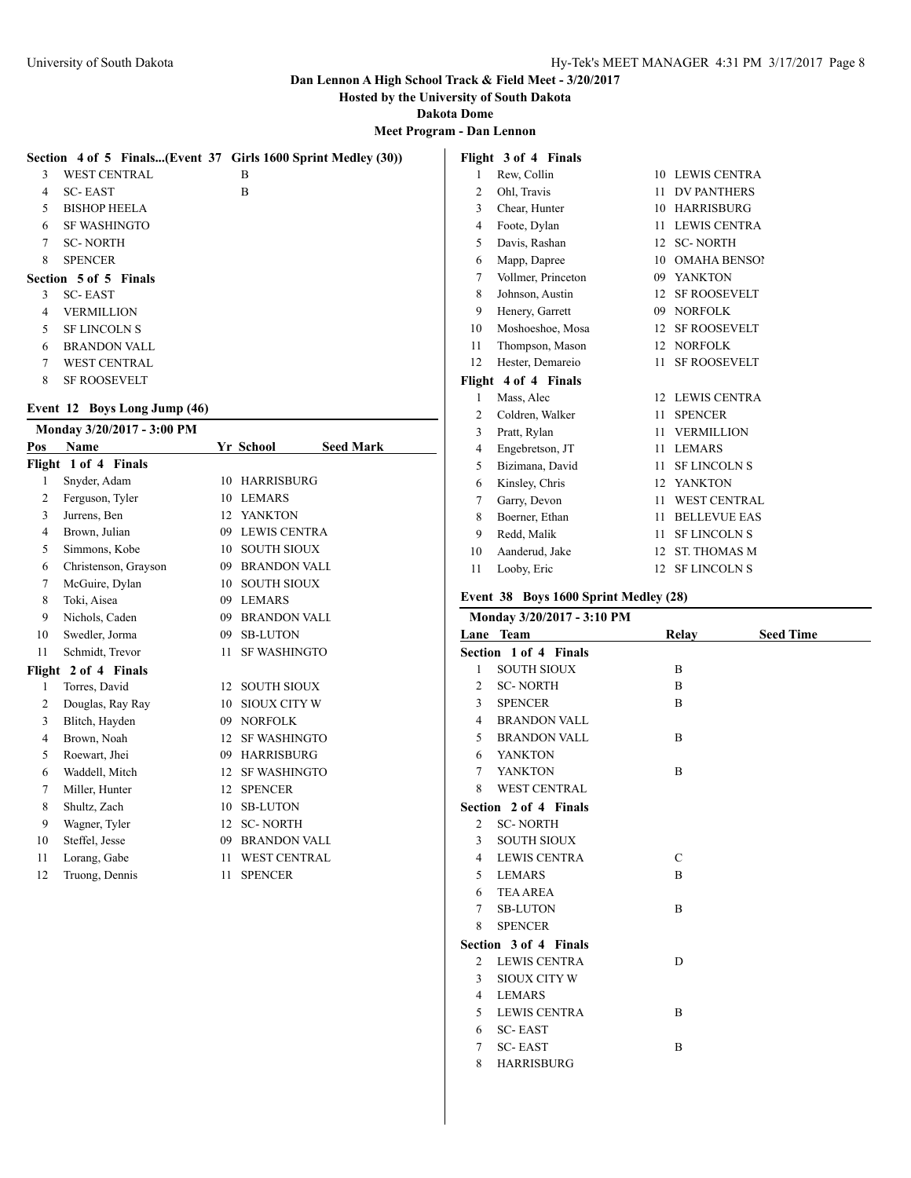**Hosted by the University of South Dakota**

**Dakota Dome**

**Meet Program - Dan Lennon**

|        |                              | Section 4 of 5 Finals(Event 37 Girls 1600 Sprint Medley (30)) |
|--------|------------------------------|---------------------------------------------------------------|
| 3      | <b>WEST CENTRAL</b>          | В                                                             |
| 4      | <b>SC-EAST</b>               | В                                                             |
| 5.     | <b>BISHOP HEELA</b>          |                                                               |
| 6      | <b>SF WASHINGTO</b>          |                                                               |
| $\tau$ | <b>SC-NORTH</b>              |                                                               |
| 8      | <b>SPENCER</b>               |                                                               |
|        | <b>Section 5 of 5 Finals</b> |                                                               |
| 3      | <b>SC-EAST</b>               |                                                               |
| 4      | <b>VERMILLION</b>            |                                                               |
| 5      | <b>SF LINCOLN S</b>          |                                                               |
| 6      | <b>BRANDON VALL</b>          |                                                               |
| 7      | <b>WEST CENTRAL</b>          |                                                               |
| 8      | <b>SF ROOSEVELT</b>          |                                                               |

### **Event 12 Boys Long Jump (46)**

|                | Monday 3/20/2017 - 3:00 PM |                  |                               |
|----------------|----------------------------|------------------|-------------------------------|
| Pos            | Name                       |                  | Yr School<br><b>Seed Mark</b> |
|                | Flight 1 of 4 Finals       |                  |                               |
| 1              | Snyder, Adam               | 10               | <b>HARRISBURG</b>             |
| 2              | Ferguson, Tyler            | 10               | <b>LEMARS</b>                 |
| 3              | Jurrens, Ben               | 12               | YANKTON                       |
| $\overline{4}$ | Brown, Julian              |                  | 09 LEWIS CENTRA               |
| 5              | Simmons, Kobe              | 10               | <b>SOUTH SIOUX</b>            |
| 6              | Christenson, Grayson       |                  | 09 BRANDON VALL               |
| 7              | McGuire, Dylan             | 10               | <b>SOUTH SIOUX</b>            |
| 8              | Toki, Aisea                |                  | 09 LEMARS                     |
| 9              | Nichols, Caden             |                  | 09 BRANDON VALL               |
| 10             | Swedler, Jorma             | 09               | <b>SB-LUTON</b>               |
| 11             | Schmidt, Trevor            | 11               | <b>SF WASHINGTO</b>           |
|                | Flight 2 of 4 Finals       |                  |                               |
| 1              | Torres, David              | 12               | <b>SOUTH SIOUX</b>            |
| 2              | Douglas, Ray Ray           | 10               | <b>SIOUX CITY W</b>           |
| 3              | Blitch, Hayden             | 09               | <b>NORFOLK</b>                |
| $\overline{4}$ | Brown, Noah                | 12 <sup>12</sup> | <b>SF WASHINGTO</b>           |
| 5              | Roewart, Jhei              |                  | 09 HARRISBURG                 |
| 6              | Waddell, Mitch             | 12               | <b>SF WASHINGTO</b>           |
| 7              | Miller, Hunter             | 12 <sup>12</sup> | <b>SPENCER</b>                |
| 8              | Shultz, Zach               | 10               | <b>SB-LUTON</b>               |
| 9              | Wagner, Tyler              | 12               | <b>SC-NORTH</b>               |
| 10             | Steffel, Jesse             |                  | 09 BRANDON VALL               |
| 11             | Lorang, Gabe               | 11               | <b>WEST CENTRAL</b>           |
| 12             | Truong, Dennis             | 11               | <b>SPENCER</b>                |
|                |                            |                  |                               |

|                | Flight 3 of 4 Finals |                  |                     |
|----------------|----------------------|------------------|---------------------|
| 1              | Rew, Collin          | 10               | <b>LEWIS CENTRA</b> |
| $\overline{2}$ | Ohl, Travis          | 11               | <b>DV PANTHERS</b>  |
| 3              | Chear, Hunter        | 10               | <b>HARRISBURG</b>   |
| 4              | Foote, Dylan         | 11               | <b>LEWIS CENTRA</b> |
| 5              | Davis, Rashan        | 12               | <b>SC-NORTH</b>     |
| 6              | Mapp, Dapree         | 10               | <b>OMAHA BENSOI</b> |
| 7              | Vollmer, Princeton   | 09               | <b>YANKTON</b>      |
| 8              | Johnson, Austin      | 12               | <b>SF ROOSEVELT</b> |
| 9              | Henery, Garrett      | 09               | <b>NORFOLK</b>      |
| 10             | Moshoeshoe, Mosa     | 12               | <b>SF ROOSEVELT</b> |
| 11             | Thompson, Mason      | 12               | <b>NORFOLK</b>      |
| 12             | Hester, Demareio     | 11               | <b>SF ROOSEVELT</b> |
| Flight         | 4 of 4 Finals        |                  |                     |
| 1              | Mass, Alec           | 12               | <b>LEWIS CENTRA</b> |
| 2              | Coldren, Walker      | 11               | <b>SPENCER</b>      |
| 3              | Pratt, Rylan         | 11               | <b>VERMILLION</b>   |
| 4              | Engebretson, JT      | 11               | <b>LEMARS</b>       |
| 5              | Bizimana, David      | 11               | <b>SF LINCOLN S</b> |
| 6              | Kinsley, Chris       | 12 <sup>12</sup> | <b>YANKTON</b>      |
| 7              | Garry, Devon         | 11               | <b>WEST CENTRAL</b> |
| 8              | Boerner, Ethan       | 11               | <b>BELLEVUE EAS</b> |
| 9              | Redd, Malik          | 11               | <b>SF LINCOLN S</b> |
| 10             | Aanderud, Jake       | 12               | <b>ST. THOMAS M</b> |
| 11             | Looby, Eric          | 12               | <b>SF LINCOLN S</b> |

## **Event 38 Boys 1600 Sprint Medley (28)**

|                | Monday 3/20/2017 - 3:10 PM |               |                  |
|----------------|----------------------------|---------------|------------------|
|                | Lane Team                  | Relay         | <b>Seed Time</b> |
|                | Section 1 of 4 Finals      |               |                  |
| 1              | <b>SOUTH SIOUX</b>         | B             |                  |
| 2              | <b>SC-NORTH</b>            | B             |                  |
| 3              | <b>SPENCER</b>             | B             |                  |
| $\overline{4}$ | <b>BRANDON VALL</b>        |               |                  |
| 5              | <b>BRANDON VALL</b>        | B             |                  |
| 6              | YANKTON                    |               |                  |
| $\tau$         | YANKTON                    | B             |                  |
| 8              | <b>WEST CENTRAL</b>        |               |                  |
|                | Section 2 of 4 Finals      |               |                  |
| $\overline{c}$ | <b>SC-NORTH</b>            |               |                  |
| $\mathbf{3}$   | <b>SOUTH SIOUX</b>         |               |                  |
| $\overline{4}$ | <b>LEWIS CENTRA</b>        | $\mathcal{C}$ |                  |
| 5              | <b>LEMARS</b>              | B             |                  |
| 6              | <b>TEA AREA</b>            |               |                  |
| $\tau$         | <b>SB-LUTON</b>            | B             |                  |
| 8              | <b>SPENCER</b>             |               |                  |
|                | Section 3 of 4 Finals      |               |                  |
| $\overline{2}$ | <b>LEWIS CENTRA</b>        | D             |                  |
| 3              | <b>SIOUX CITY W</b>        |               |                  |
| 4              | <b>LEMARS</b>              |               |                  |
| 5              | <b>LEWIS CENTRA</b>        | B             |                  |
| 6              | <b>SC-EAST</b>             |               |                  |
| 7              | <b>SC-EAST</b>             | B             |                  |
| 8              | <b>HARRISBURG</b>          |               |                  |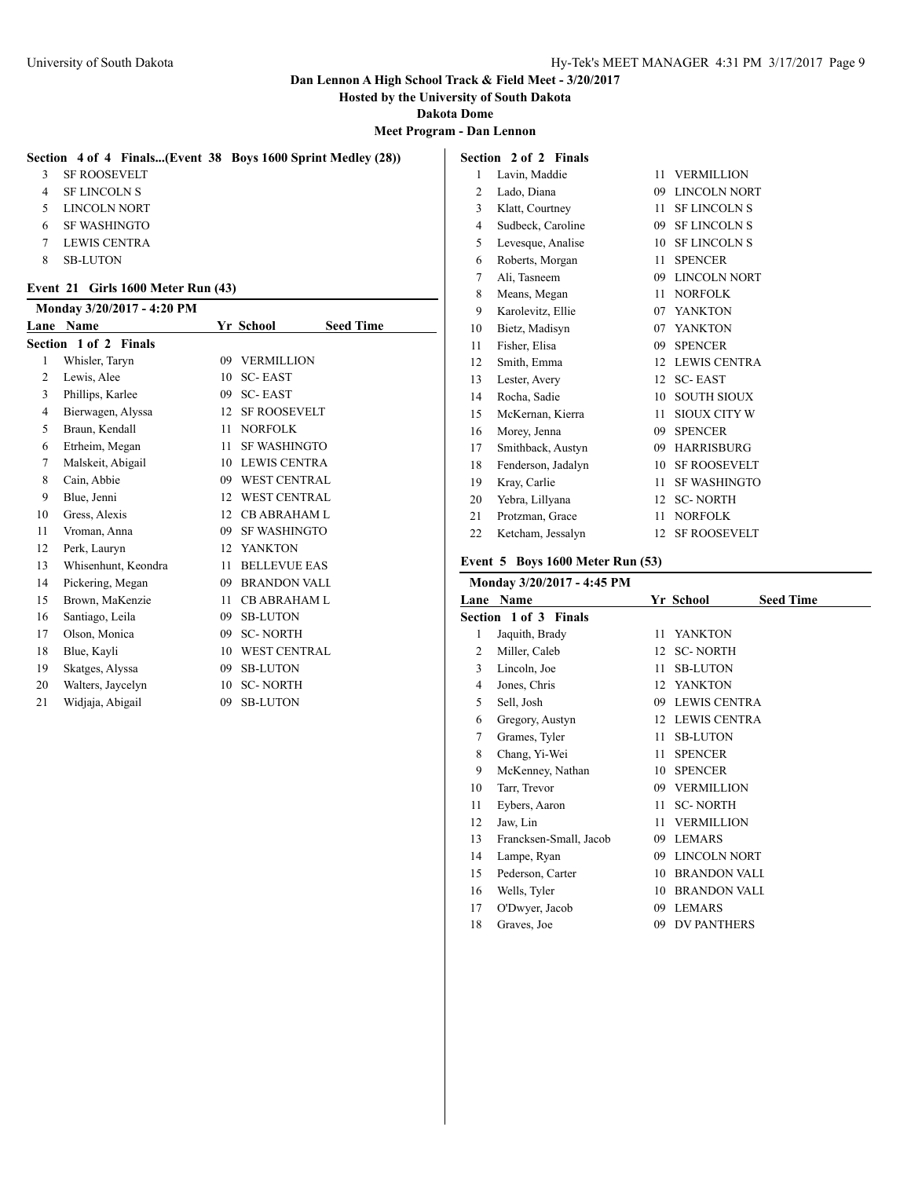**Hosted by the University of South Dakota**

**Dakota Dome**

**Meet Program - Dan Lennon**

#### **Section 4 of 4 Finals...(Event 38 Boys 1600 Sprint Medley (28))**

SF ROOSEVELT

- SF LINCOLN S
- LINCOLN NORT
- SF WASHINGTO
- LEWIS CENTRA
- SB-LUTON

#### **Event 21 Girls 1600 Meter Run (43)**

|                | Monday 3/20/2017 - 4:20 PM |                  |                     |                  |
|----------------|----------------------------|------------------|---------------------|------------------|
| Lane           | Name                       |                  | Yr School           | <b>Seed Time</b> |
|                | Section 1 of 2 Finals      |                  |                     |                  |
| 1              | Whisler, Taryn             | 09               | <b>VERMILLION</b>   |                  |
| 2              | Lewis, Alee                | 10               | <b>SC-EAST</b>      |                  |
| 3              | Phillips, Karlee           | 09               | <b>SC-EAST</b>      |                  |
| $\overline{4}$ | Bierwagen, Alyssa          | 12 <sup>12</sup> | <b>SF ROOSEVELT</b> |                  |
| 5              | Braun, Kendall             | 11               | <b>NORFOLK</b>      |                  |
| 6              | Etrheim, Megan             | 11               | <b>SF WASHINGTO</b> |                  |
| 7              | Malskeit, Abigail          |                  | 10 LEWIS CENTRA     |                  |
| 8              | Cain, Abbie                | 09               | <b>WEST CENTRAL</b> |                  |
| 9              | Blue, Jenni                | 12               | <b>WEST CENTRAL</b> |                  |
| 10             | Gress, Alexis              | 12               | <b>CB ABRAHAM L</b> |                  |
| 11             | Vroman, Anna               | 09               | <b>SF WASHINGTO</b> |                  |
| 12             | Perk, Lauryn               |                  | 12 YANKTON          |                  |
| 13             | Whisenhunt, Keondra        | 11               | <b>BELLEVUE EAS</b> |                  |
| 14             | Pickering, Megan           | 09               | <b>BRANDON VALI</b> |                  |
| 15             | Brown, MaKenzie            | 11               | <b>CB ABRAHAM L</b> |                  |
| 16             | Santiago, Leila            | 09               | <b>SB-LUTON</b>     |                  |
| 17             | Olson, Monica              | 09               | <b>SC-NORTH</b>     |                  |
| 18             | Blue, Kayli                | 10               | <b>WEST CENTRAL</b> |                  |
| 19             | Skatges, Alyssa            | 09               | <b>SB-LUTON</b>     |                  |
| 20             | Walters, Jaycelyn          | 10               | <b>SC-NORTH</b>     |                  |
| 21             | Widjaja, Abigail           | 09               | <b>SB-LUTON</b>     |                  |

### **Section 2 of 2 Finals** Lavin, Maddie 11 VERMILLION Lado, Diana 09 LINCOLN NORT Klatt, Courtney 11 SF LINCOLN S 4 Sudbeck, Caroline 09 SF LINCOLN S 5 Levesque, Analise 10 SF LINCOLN S Roberts, Morgan 11 SPENCER Ali, Tasneem 09 LINCOLN NORT 8 Means, Megan 11 NORFOLK Karolevitz, Ellie 07 YANKTON Bietz, Madisyn 07 YANKTON Fisher, Elisa 09 SPENCER Smith, Emma 12 LEWIS CENTRA Lester, Avery 12 SC- EAST Rocha, Sadie 10 SOUTH SIOUX 15 McKernan, Kierra 11 SIOUX CITY W Morey, Jenna 09 SPENCER Smithback, Austyn 09 HARRISBURG Fenderson, Jadalyn 10 SF ROOSEVELT Kray, Carlie 11 SF WASHINGTO Yebra, Lillyana 12 SC- NORTH Protzman, Grace 11 NORFOLK Ketcham, Jessalyn 12 SF ROOSEVELT

#### **Event 5 Boys 1600 Meter Run (53)**

|    | Monday 3/20/2017 - 4:45 PM |    |                     |                  |
|----|----------------------------|----|---------------------|------------------|
|    | Lane Name                  |    | Yr School           | <b>Seed Time</b> |
|    | Section 1 of 3 Finals      |    |                     |                  |
| 1  | Jaquith, Brady             | 11 | <b>YANKTON</b>      |                  |
| 2  | Miller, Caleb              | 12 | <b>SC-NORTH</b>     |                  |
| 3  | Lincoln, Joe               | 11 | <b>SB-LUTON</b>     |                  |
| 4  | Jones, Chris               | 12 | <b>YANKTON</b>      |                  |
| 5  | Sell, Josh                 | 09 | <b>LEWIS CENTRA</b> |                  |
| 6  | Gregory, Austyn            | 12 | <b>LEWIS CENTRA</b> |                  |
| 7  | Grames, Tyler              | 11 | <b>SB-LUTON</b>     |                  |
| 8  | Chang, Yi-Wei              | 11 | <b>SPENCER</b>      |                  |
| 9  | McKenney, Nathan           | 10 | <b>SPENCER</b>      |                  |
| 10 | Tarr, Trevor               | 09 | <b>VERMILLION</b>   |                  |
| 11 | Eybers, Aaron              | 11 | <b>SC-NORTH</b>     |                  |
| 12 | Jaw, Lin                   | 11 | <b>VERMILLION</b>   |                  |
| 13 | Francksen-Small, Jacob     | 09 | <b>LEMARS</b>       |                  |
| 14 | Lampe, Ryan                | 09 | <b>LINCOLN NORT</b> |                  |
| 15 | Pederson, Carter           | 10 | <b>BRANDON VALL</b> |                  |
| 16 | Wells, Tyler               | 10 | <b>BRANDON VALL</b> |                  |
| 17 | O'Dwyer, Jacob             | 09 | <b>LEMARS</b>       |                  |
| 18 | Graves, Joe                | 09 | <b>DV PANTHERS</b>  |                  |
|    |                            |    |                     |                  |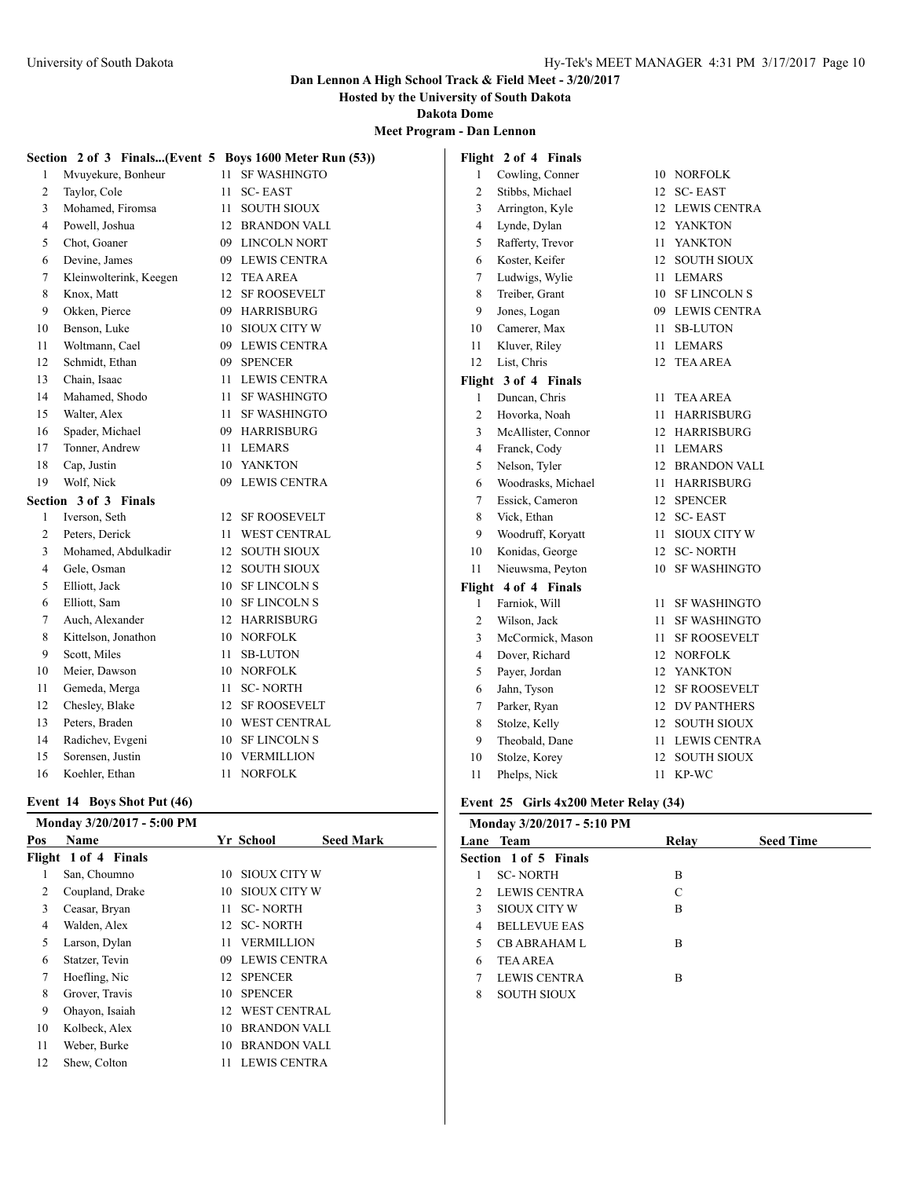**Hosted by the University of South Dakota**

**Dakota Dome**

**Meet Program - Dan Lennon**

|    | Section 2 of 3 Finals(Event 5 Boys 1600 Meter Run (53))<br>Flight 2 of 4 Finals |    |                     |                |                      |    |                     |
|----|---------------------------------------------------------------------------------|----|---------------------|----------------|----------------------|----|---------------------|
| 1  | Mvuyekure, Bonheur                                                              |    | 11 SF WASHINGTO     | 1              | Cowling, Conner      |    | 10 NORFOLK          |
| 2  | Taylor, Cole                                                                    | 11 | <b>SC-EAST</b>      | 2              | Stibbs, Michael      | 12 | <b>SC-EAST</b>      |
| 3  | Mohamed, Firomsa                                                                | 11 | <b>SOUTH SIOUX</b>  | 3              | Arrington, Kyle      |    | 12 LEWIS CENTRA     |
| 4  | Powell, Joshua                                                                  | 12 | <b>BRANDON VALI</b> | 4              | Lynde, Dylan         | 12 | YANKTON             |
| 5  | Chot, Goaner                                                                    | 09 | <b>LINCOLN NORT</b> | 5              | Rafferty, Trevor     | 11 | <b>YANKTON</b>      |
| 6  | Devine, James                                                                   | 09 | <b>LEWIS CENTRA</b> | 6              | Koster, Keifer       | 12 | <b>SOUTH SIOUX</b>  |
| 7  | Kleinwolterink, Keegen                                                          | 12 | <b>TEA AREA</b>     | 7              | Ludwigs, Wylie       | 11 | <b>LEMARS</b>       |
| 8  | Knox, Matt                                                                      | 12 | <b>SF ROOSEVELT</b> | 8              | Treiber, Grant       | 10 | <b>SF LINCOLN S</b> |
| 9  | Okken, Pierce                                                                   | 09 | <b>HARRISBURG</b>   | 9              | Jones, Logan         | 09 | <b>LEWIS CENTRA</b> |
| 10 | Benson, Luke                                                                    | 10 | <b>SIOUX CITY W</b> | 10             | Camerer, Max         | 11 | <b>SB-LUTON</b>     |
| 11 | Woltmann, Cael                                                                  | 09 | <b>LEWIS CENTRA</b> | 11             | Kluver, Riley        |    | 11 LEMARS           |
| 12 | Schmidt, Ethan                                                                  | 09 | <b>SPENCER</b>      | 12             | List, Chris          |    | 12 TEA AREA         |
| 13 | Chain, Isaac                                                                    | 11 | <b>LEWIS CENTRA</b> |                | Flight 3 of 4 Finals |    |                     |
| 14 | Mahamed, Shodo                                                                  | 11 | <b>SF WASHINGTO</b> | 1              | Duncan, Chris        | 11 | TEA AREA            |
| 15 | Walter, Alex                                                                    | 11 | <b>SF WASHINGTO</b> | $\overline{c}$ | Hovorka, Noah        | 11 | <b>HARRISBURG</b>   |
| 16 | Spader, Michael                                                                 | 09 | <b>HARRISBURG</b>   | 3              | McAllister, Connor   |    | 12 HARRISBURG       |
| 17 | Tonner, Andrew                                                                  | 11 | <b>LEMARS</b>       | 4              | Franck, Cody         |    | 11 LEMARS           |
| 18 | Cap, Justin                                                                     | 10 | YANKTON             | 5              | Nelson, Tyler        |    | 12 BRANDON VALL     |
| 19 | Wolf, Nick                                                                      | 09 | <b>LEWIS CENTRA</b> | 6              | Woodrasks, Michael   |    | 11 HARRISBURG       |
|    | Section 3 of 3 Finals                                                           |    |                     | 7              | Essick, Cameron      |    | 12 SPENCER          |
| 1  | Iverson, Seth                                                                   | 12 | <b>SF ROOSEVELT</b> | 8              | Vick, Ethan          |    | 12 SC-EAST          |
| 2  | Peters, Derick                                                                  | 11 | <b>WEST CENTRAL</b> | 9              | Woodruff, Koryatt    | 11 | <b>SIOUX CITY W</b> |
| 3  | Mohamed, Abdulkadir                                                             | 12 | <b>SOUTH SIOUX</b>  | 10             | Konidas, George      |    | 12 SC-NORTH         |
| 4  | Gele, Osman                                                                     | 12 | <b>SOUTH SIOUX</b>  | 11             | Nieuwsma, Peyton     | 10 | <b>SF WASHINGTO</b> |
| 5  | Elliott, Jack                                                                   | 10 | <b>SF LINCOLN S</b> |                | Flight 4 of 4 Finals |    |                     |
| 6  | Elliott, Sam                                                                    | 10 | <b>SF LINCOLN S</b> | 1              | Farniok, Will        | 11 | <b>SF WASHINGTO</b> |
| 7  | Auch, Alexander                                                                 | 12 | <b>HARRISBURG</b>   | $\overline{2}$ | Wilson, Jack         | 11 | <b>SF WASHINGTO</b> |
| 8  | Kittelson, Jonathon                                                             | 10 | <b>NORFOLK</b>      | 3              | McCormick, Mason     | 11 | <b>SF ROOSEVELT</b> |
| 9  | Scott, Miles                                                                    | 11 | <b>SB-LUTON</b>     | 4              | Dover, Richard       | 12 | <b>NORFOLK</b>      |
| 10 | Meier, Dawson                                                                   | 10 | <b>NORFOLK</b>      | 5              | Payer, Jordan        | 12 | <b>YANKTON</b>      |
| 11 | Gemeda, Merga                                                                   | 11 | <b>SC-NORTH</b>     | 6              | Jahn, Tyson          | 12 | <b>SF ROOSEVELT</b> |
| 12 | Chesley, Blake                                                                  | 12 | <b>SF ROOSEVELT</b> | 7              | Parker, Ryan         | 12 | <b>DV PANTHERS</b>  |
| 13 | Peters, Braden                                                                  | 10 | <b>WEST CENTRAL</b> | 8              | Stolze, Kelly        | 12 | <b>SOUTH SIOUX</b>  |
| 14 | Radichev, Evgeni                                                                | 10 | <b>SF LINCOLN S</b> | 9              | Theobald, Dane       | 11 | <b>LEWIS CENTRA</b> |
| 15 | Sorensen, Justin                                                                | 10 | <b>VERMILLION</b>   | 10             | Stolze, Korey        | 12 | <b>SOUTH SIOUX</b>  |
| 16 | Koehler, Ethan                                                                  | 11 | <b>NORFOLK</b>      | 11             | Phelps, Nick         |    | 11 KP-WC            |

### **Event 14 Boys Shot Put (46)**

|     | Monday 3/20/2017 - 5:00 PM |    |                     |                  |
|-----|----------------------------|----|---------------------|------------------|
| Pos | Name                       |    | Yr School           | <b>Seed Mark</b> |
|     | Flight 1 of 4 Finals       |    |                     |                  |
| 1   | San, Choumno               | 10 | SIOUX CITY W        |                  |
| 2   | Coupland, Drake            | 10 | SIOUX CITY W        |                  |
| 3   | Ceasar, Bryan              | 11 | <b>SC-NORTH</b>     |                  |
| 4   | Walden, Alex               |    | 12 SC-NORTH         |                  |
| 5   | Larson, Dylan              | 11 | <b>VERMILLION</b>   |                  |
| 6   | Statzer, Tevin             | 09 | <b>LEWIS CENTRA</b> |                  |
| 7   | Hoefling, Nic              | 12 | <b>SPENCER</b>      |                  |
| 8   | Grover, Travis             | 10 | <b>SPENCER</b>      |                  |
| 9   | Ohavon, Isaiah             | 12 | <b>WEST CENTRAL</b> |                  |
| 10  | Kolbeck, Alex              | 10 | <b>BRANDON VALL</b> |                  |
| 11  | Weber, Burke               | 10 | <b>BRANDON VALL</b> |                  |
| 12  | Shew, Colton               | 11 | <b>LEWIS CENTRA</b> |                  |
|     |                            |    |                     |                  |

# **Event 25 Girls 4x200 Meter Relay (34)**

|               | Monday 3/20/2017 - 5:10 PM |       |                  |
|---------------|----------------------------|-------|------------------|
|               | Lane Team                  | Relay | <b>Seed Time</b> |
|               | Section 1 of 5 Finals      |       |                  |
| 1             | <b>SC-NORTH</b>            | B     |                  |
| $\mathcal{L}$ | LEWIS CENTRA               | C     |                  |
| 3             | SIOUX CITY W               | B     |                  |
| 4             | <b>BELLEVUE EAS</b>        |       |                  |
| 5             | <b>CB ABRAHAM L</b>        | B     |                  |
| 6             | <b>TEA AREA</b>            |       |                  |
| 7             | LEWIS CENTRA               | B     |                  |
| 8             | <b>SOUTH SIOUX</b>         |       |                  |
|               |                            |       |                  |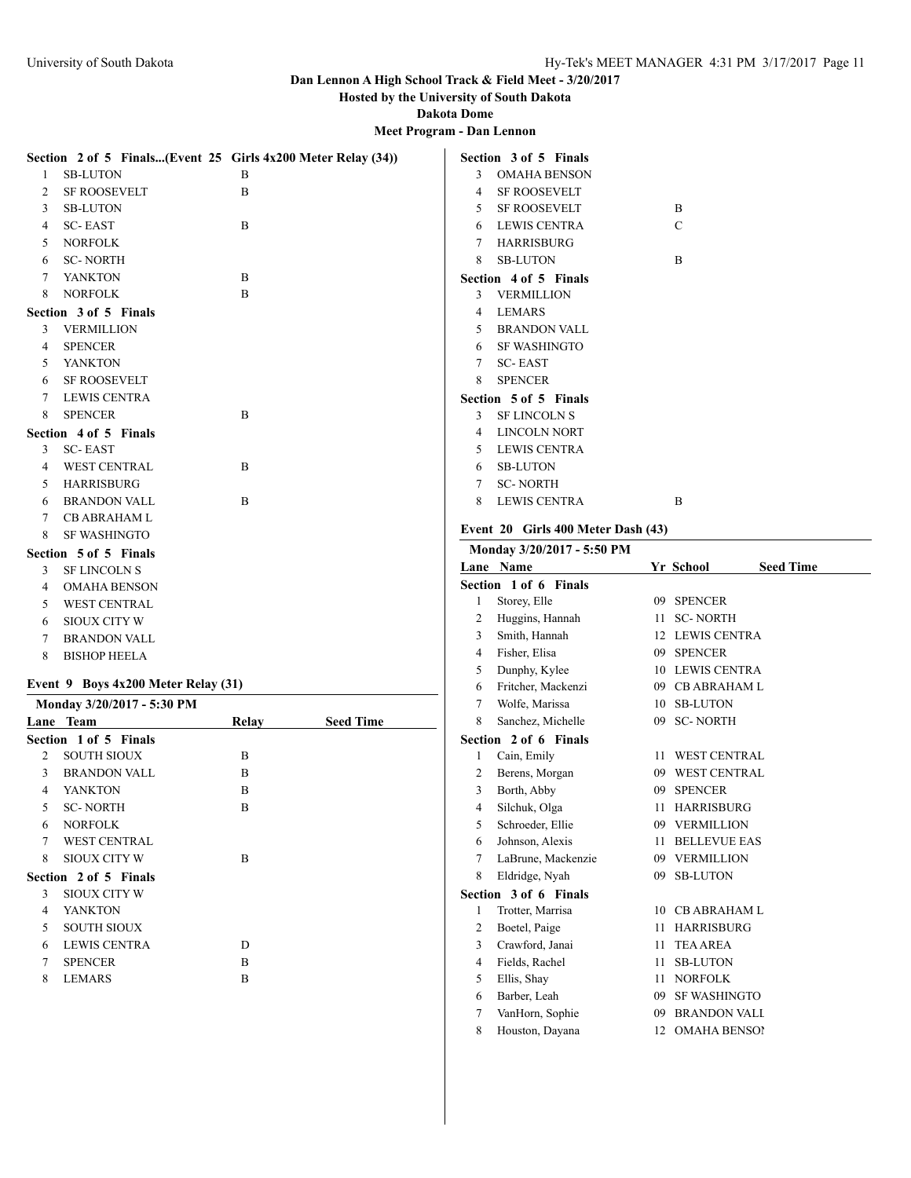YANKTON B SC- NORTH B

8 SIOUX CITY W B

 LEWIS CENTRA D SPENCER B 8 LEMARS B

 NORFOLK WEST CENTRAL

**Section 2 of 5 Finals** SIOUX CITY W YANKTON SOUTH SIOUX

### **Dan Lennon A High School Track & Field Meet - 3/20/2017**

**Hosted by the University of South Dakota**

**Dakota Dome**

**Meet Program - Dan Lennon**

|   | Section 2 of 5 Finals(Event 25 Girls 4x200 Meter Relay (34)) |              |                  |                | Section 3 of 5 Finals              |                  |                  |
|---|--------------------------------------------------------------|--------------|------------------|----------------|------------------------------------|------------------|------------------|
| 1 | <b>SB-LUTON</b>                                              | B            |                  | 3              | <b>OMAHA BENSON</b>                |                  |                  |
| 2 | <b>SF ROOSEVELT</b>                                          | B            |                  | 4              | <b>SF ROOSEVELT</b>                |                  |                  |
| 3 | <b>SB-LUTON</b>                                              |              |                  | 5              | <b>SF ROOSEVELT</b>                | $\mathbf B$      |                  |
| 4 | <b>SC-EAST</b>                                               | B            |                  | 6              | <b>LEWIS CENTRA</b>                | $\mathcal{C}$    |                  |
| 5 | <b>NORFOLK</b>                                               |              |                  | 7              | <b>HARRISBURG</b>                  |                  |                  |
| 6 | <b>SC-NORTH</b>                                              |              |                  | 8              | <b>SB-LUTON</b>                    | B                |                  |
| 7 | <b>YANKTON</b>                                               | B            |                  |                | Section 4 of 5 Finals              |                  |                  |
| 8 | <b>NORFOLK</b>                                               | B            |                  | 3              | <b>VERMILLION</b>                  |                  |                  |
|   | Section 3 of 5 Finals                                        |              |                  | 4              | <b>LEMARS</b>                      |                  |                  |
| 3 | <b>VERMILLION</b>                                            |              |                  | 5              | <b>BRANDON VALL</b>                |                  |                  |
| 4 | <b>SPENCER</b>                                               |              |                  | 6              | <b>SF WASHINGTO</b>                |                  |                  |
| 5 | <b>YANKTON</b>                                               |              |                  | 7              | <b>SC-EAST</b>                     |                  |                  |
| 6 | <b>SF ROOSEVELT</b>                                          |              |                  | 8              | <b>SPENCER</b>                     |                  |                  |
| 7 | <b>LEWIS CENTRA</b>                                          |              |                  |                | Section 5 of 5 Finals              |                  |                  |
| 8 | <b>SPENCER</b>                                               | B            |                  | 3              | <b>SF LINCOLN S</b>                |                  |                  |
|   | Section 4 of 5 Finals                                        |              |                  | 4              | <b>LINCOLN NORT</b>                |                  |                  |
| 3 | <b>SC-EAST</b>                                               |              |                  | 5              | <b>LEWIS CENTRA</b>                |                  |                  |
| 4 | <b>WEST CENTRAL</b>                                          | B            |                  | 6              | <b>SB-LUTON</b>                    |                  |                  |
| 5 | <b>HARRISBURG</b>                                            |              |                  | 7              | <b>SC-NORTH</b>                    |                  |                  |
| 6 | <b>BRANDON VALL</b>                                          | B            |                  | 8              | <b>LEWIS CENTRA</b>                | $\mathbf B$      |                  |
| 7 | <b>CB ABRAHAM L</b>                                          |              |                  |                |                                    |                  |                  |
| 8 | <b>SF WASHINGTO</b>                                          |              |                  |                | Event 20 Girls 400 Meter Dash (43) |                  |                  |
|   | Section 5 of 5 Finals                                        |              |                  |                | Monday 3/20/2017 - 5:50 PM         |                  |                  |
| 3 | <b>SF LINCOLN S</b>                                          |              |                  |                | Lane Name                          | <b>Yr School</b> | <b>Seed Time</b> |
| 4 | <b>OMAHA BENSON</b>                                          |              |                  |                | Section 1 of 6 Finals              |                  |                  |
| 5 | <b>WEST CENTRAL</b>                                          |              |                  | 1              | Storey, Elle                       | 09 SPENCER       |                  |
| 6 | <b>SIOUX CITY W</b>                                          |              |                  | 2              | Huggins, Hannah                    | 11 SC-NORTH      |                  |
| 7 | <b>BRANDON VALL</b>                                          |              |                  | 3              | Smith, Hannah                      | 12 LEWIS CENTRA  |                  |
| 8 | <b>BISHOP HEELA</b>                                          |              |                  | 4              | Fisher, Elisa                      | 09 SPENCER       |                  |
|   |                                                              |              |                  | 5              | Dunphy, Kylee                      | 10 LEWIS CENTRA  |                  |
|   | Event 9 Boys 4x200 Meter Relay (31)                          |              |                  | 6              | Fritcher, Mackenzi                 | 09 CB ABRAHAM L  |                  |
|   | Monday 3/20/2017 - 5:30 PM                                   |              |                  | 7              | Wolfe, Marissa                     | 10 SB-LUTON      |                  |
|   | Lane Team                                                    | <b>Relay</b> | <b>Seed Time</b> | 8              | Sanchez, Michelle                  | 09 SC-NORTH      |                  |
|   | Section 1 of 5 Finals                                        |              |                  |                | Section 2 of 6 Finals              |                  |                  |
| 2 | <b>SOUTH SIOUX</b>                                           | B            |                  |                | Cain, Emily                        | 11 WEST CENTRAL  |                  |
| 3 | <b>BRANDON VALL</b>                                          | B            |                  | $\overline{c}$ | Berens, Morgan                     | 09 WEST CENTRAL  |                  |

| 2 | Berens, Morgan        | 09 | <b>WEST CENTRAL</b> |
|---|-----------------------|----|---------------------|
| 3 | Borth, Abby           | 09 | <b>SPENCER</b>      |
| 4 | Silchuk, Olga         | 11 | <b>HARRISBURG</b>   |
| 5 | Schroeder, Ellie      | 09 | <b>VERMILLION</b>   |
| 6 | Johnson, Alexis       | 11 | <b>BELLEVUE EAS</b> |
| 7 | LaBrune, Mackenzie    | 09 | <b>VERMILLION</b>   |
| 8 | Eldridge, Nyah        | 09 | <b>SB-LUTON</b>     |
|   | Section 3 of 6 Finals |    |                     |
| 1 | Trotter, Marrisa      | 10 | CB ABRAHAM L        |
| 2 | Boetel, Paige         | 11 | <b>HARRISBURG</b>   |
| 3 | Crawford, Janai       | 11 | <b>TEA AREA</b>     |
| 4 | Fields, Rachel        | 11 | <b>SB-LUTON</b>     |
| 5 | Ellis, Shay           | 11 | <b>NORFOLK</b>      |
| 6 | Barber, Leah          | 09 | <b>SF WASHINGTO</b> |
| 7 | VanHorn, Sophie       | 09 | <b>BRANDON VALL</b> |

8 Houston, Dayana 12 OMAHA BENSON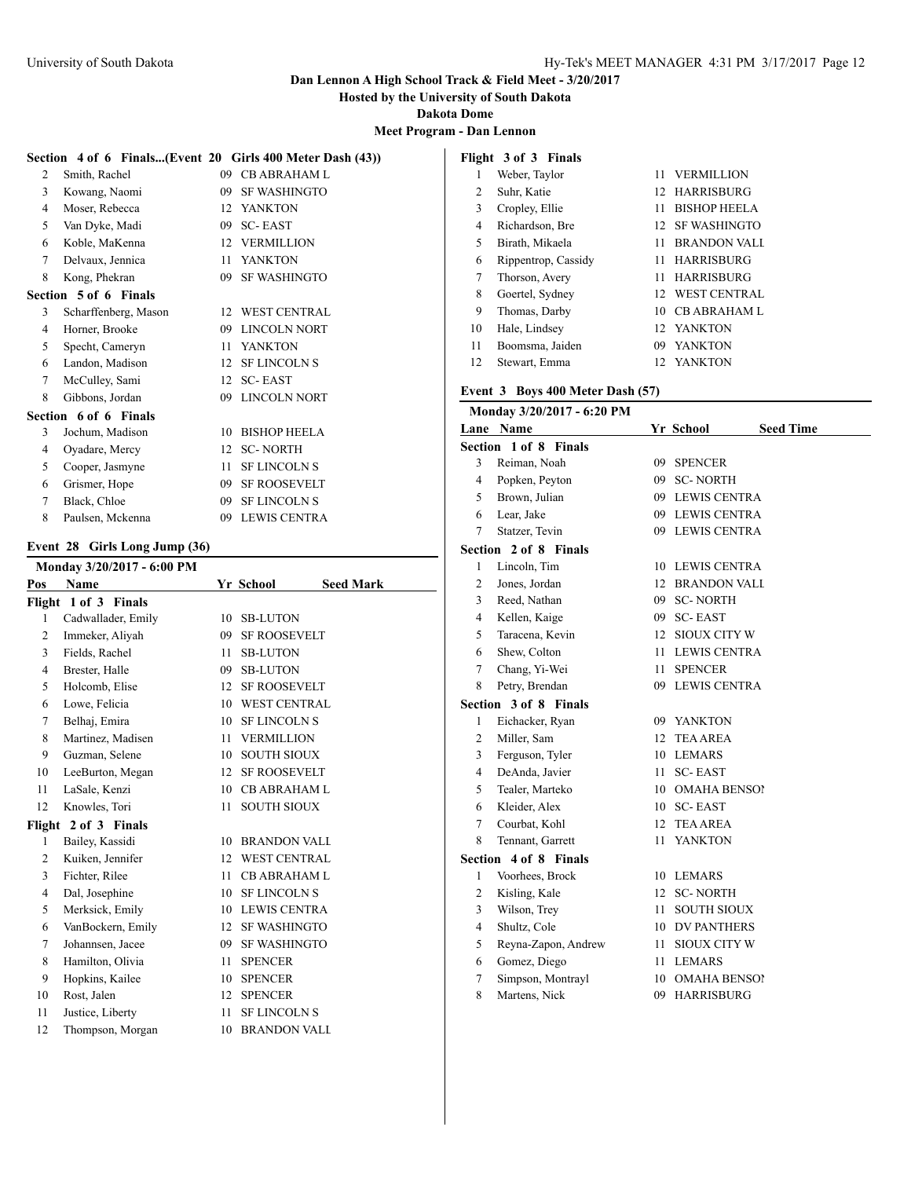**Hosted by the University of South Dakota**

**Dakota Dome**

**Meet Program - Dan Lennon**

|   | Section 4 of 6 Finals(Event 20 Girls 400 Meter Dash (43)) |    |                     |
|---|-----------------------------------------------------------|----|---------------------|
| 2 | Smith, Rachel                                             | 09 | <b>CB ABRAHAM L</b> |
| 3 | Kowang, Naomi                                             | 09 | <b>SF WASHINGTO</b> |
| 4 | Moser, Rebecca                                            |    | 12 YANKTON          |
| 5 | Van Dyke, Madi                                            | 09 | <b>SC-EAST</b>      |
| 6 | Koble, MaKenna                                            |    | 12 VERMILLION       |
| 7 | Delvaux, Jennica                                          | 11 | <b>YANKTON</b>      |
| 8 | Kong, Phekran                                             | 09 | <b>SF WASHINGTO</b> |
|   | Section 5 of 6 Finals                                     |    |                     |
| 3 | Scharffenberg, Mason                                      | 12 | <b>WEST CENTRAL</b> |
| 4 | Horner, Brooke                                            | 09 | <b>LINCOLN NORT</b> |
| 5 | Specht, Cameryn                                           | 11 | <b>YANKTON</b>      |
| 6 | Landon, Madison                                           | 12 | <b>SF LINCOLN S</b> |
| 7 | McCulley, Sami                                            | 12 | <b>SC-EAST</b>      |
| 8 | Gibbons, Jordan                                           | 09 | <b>LINCOLN NORT</b> |
|   | Section 6 of 6 Finals                                     |    |                     |
| 3 | Jochum, Madison                                           | 10 | <b>BISHOP HEELA</b> |
| 4 | Oyadare, Mercy                                            | 12 | <b>SC-NORTH</b>     |
| 5 | Cooper, Jasmyne                                           | 11 | <b>SF LINCOLN S</b> |
| 6 | Grismer, Hope                                             | 09 | <b>SF ROOSEVELT</b> |
| 7 | Black, Chloe                                              | 09 | <b>SF LINCOLN S</b> |

Paulsen, Mckenna 09 LEWIS CENTRA

# **Event 28 Girls Long Jump (36)**

|              | Monday 3/20/2017 - 6:00 PM |                  |                     |                  |
|--------------|----------------------------|------------------|---------------------|------------------|
| Pos          | Name                       |                  | Yr School           | <b>Seed Mark</b> |
|              | Flight 1 of 3 Finals       |                  |                     |                  |
| 1            | Cadwallader, Emily         | 10               | <b>SB-LUTON</b>     |                  |
| 2            | Immeker, Aliyah            | 09               | <b>SF ROOSEVELT</b> |                  |
| 3            | Fields, Rachel             | 11               | <b>SB-LUTON</b>     |                  |
| 4            | Brester, Halle             | 09               | <b>SB-LUTON</b>     |                  |
| 5            | Holcomb, Elise             | 12 <sup>12</sup> | <b>SF ROOSEVELT</b> |                  |
| 6            | Lowe, Felicia              | 10               | <b>WEST CENTRAL</b> |                  |
| 7            | Belhaj, Emira              | 10               | <b>SF LINCOLN S</b> |                  |
| 8            | Martinez, Madisen          | 11               | <b>VERMILLION</b>   |                  |
| 9            | Guzman, Selene             | 10               | <b>SOUTH SIOUX</b>  |                  |
| 10           | LeeBurton, Megan           | 12 <sup>2</sup>  | <b>SF ROOSEVELT</b> |                  |
| 11           | LaSale, Kenzi              | 10               | <b>CB ABRAHAM L</b> |                  |
| 12           | Knowles, Tori              | 11               | <b>SOUTH SIOUX</b>  |                  |
|              | Flight 2 of 3 Finals       |                  |                     |                  |
| $\mathbf{1}$ | Bailey, Kassidi            | 10               | <b>BRANDON VALI</b> |                  |
| 2            | Kuiken, Jennifer           | 12               | <b>WEST CENTRAL</b> |                  |
| 3            | Fichter, Rilee             | 11               | <b>CB ABRAHAM L</b> |                  |
| 4            | Dal, Josephine             | 10               | <b>SF LINCOLN S</b> |                  |
| 5            | Merksick, Emily            |                  | 10 LEWIS CENTRA     |                  |
| 6            | VanBockern, Emily          | 12 <sup>2</sup>  | <b>SF WASHINGTO</b> |                  |
| 7            | Johannsen, Jacee           | 09               | <b>SF WASHINGTO</b> |                  |
| 8            | Hamilton, Olivia           | 11               | <b>SPENCER</b>      |                  |
| 9            | Hopkins, Kailee            | 10               | <b>SPENCER</b>      |                  |
| 10           | Rost, Jalen                | 12               | <b>SPENCER</b>      |                  |
| 11           | Justice, Liberty           | 11               | <b>SF LINCOLN S</b> |                  |
| 12           | Thompson, Morgan           | 10               | <b>BRANDON VALI</b> |                  |
|              |                            |                  |                     |                  |

| Flight 3 of 3 Finals |                     |     |                     |  |  |  |  |  |
|----------------------|---------------------|-----|---------------------|--|--|--|--|--|
| 1                    | Weber, Taylor       | 11. | <b>VERMILLION</b>   |  |  |  |  |  |
| 2                    | Suhr, Katie         |     | 12 HARRISBURG       |  |  |  |  |  |
| 3                    | Cropley, Ellie      | 11  | <b>BISHOP HEELA</b> |  |  |  |  |  |
| 4                    | Richardson, Bre     | 12. | <b>SF WASHINGTO</b> |  |  |  |  |  |
| 5                    | Birath, Mikaela     | 11  | <b>BRANDON VALL</b> |  |  |  |  |  |
| 6                    | Rippentrop, Cassidy | 11  | <b>HARRISBURG</b>   |  |  |  |  |  |
| 7                    | Thorson, Avery      | 11. | <b>HARRISBURG</b>   |  |  |  |  |  |
| 8                    | Goertel, Sydney     |     | 12 WEST CENTRAL     |  |  |  |  |  |
| 9                    | Thomas, Darby       | 10  | <b>CB ABRAHAM L</b> |  |  |  |  |  |
| 10                   | Hale, Lindsey       |     | 12 YANKTON          |  |  |  |  |  |
| 11                   | Boomsma, Jaiden     | 09  | <b>YANKTON</b>      |  |  |  |  |  |
| 12                   | Stewart, Emma       |     | 12 YANKTON          |  |  |  |  |  |

### **Event 3 Boys 400 Meter Dash (57)**

|                | Monday 3/20/2017 - 6:20 PM |              |                               |
|----------------|----------------------------|--------------|-------------------------------|
|                | Lane Name                  |              | Yr School<br><b>Seed Time</b> |
|                | Section 1 of 8 Finals      |              |                               |
| 3              | Reiman, Noah               | 09           | <b>SPENCER</b>                |
| 4              | Popken, Peyton             | 09.          | <b>SC-NORTH</b>               |
| 5              | Brown, Julian              | 09.          | <b>LEWIS CENTRA</b>           |
| 6              | Lear, Jake                 |              | 09 LEWIS CENTRA               |
| 7              | Statzer, Tevin             |              | 09 LEWIS CENTRA               |
|                | Section 2 of 8 Finals      |              |                               |
| 1              | Lincoln, Tim               |              | 10 LEWIS CENTRA               |
| $\overline{c}$ | Jones, Jordan              |              | 12 BRANDON VALL               |
| 3              | Reed, Nathan               | 09.          | <b>SC-NORTH</b>               |
| 4              | Kellen, Kaige              | 09.          | <b>SC-EAST</b>                |
| 5              | Taracena, Kevin            | 12           | <b>SIOUX CITY W</b>           |
| 6              | Shew, Colton               | 11           | <b>LEWIS CENTRA</b>           |
| 7              | Chang, Yi-Wei              | 11           | <b>SPENCER</b>                |
| 8              | Petry, Brendan             |              | 09 LEWIS CENTRA               |
|                | Section 3 of 8 Finals      |              |                               |
| 1              | Eichacker, Ryan            |              | 09 YANKTON                    |
| 2              | Miller, Sam                | 12           | <b>TEA AREA</b>               |
| 3              | Ferguson, Tyler            | 10           | <b>LEMARS</b>                 |
| 4              | DeAnda, Javier             | 11.          | <b>SC-EAST</b>                |
| 5              | Tealer, Marteko            | 10.          | <b>OMAHA BENSOI</b>           |
| 6              | Kleider, Alex              |              | 10 SC-EAST                    |
| 7              | Courbat, Kohl              | $12^{\circ}$ | <b>TEA AREA</b>               |
| 8              | Tennant, Garrett           | 11           | <b>YANKTON</b>                |
| Section        | 4 of 8 Finals              |              |                               |
| 1              | Voorhees, Brock            | 10           | <b>LEMARS</b>                 |
| 2              | Kisling, Kale              | 12           | <b>SC-NORTH</b>               |
| 3              | Wilson, Trey               | 11           | <b>SOUTH SIOUX</b>            |
| 4              | Shultz, Cole               | 10           | <b>DV PANTHERS</b>            |
| 5              | Reyna-Zapon, Andrew        | 11           | <b>SIOUX CITY W</b>           |
| 6              | Gomez, Diego               | 11           | <b>LEMARS</b>                 |
| 7              | Simpson, Montrayl          | 10           | <b>OMAHA BENSO!</b>           |
| 8              | Martens, Nick              |              | 09 HARRISBURG                 |
|                |                            |              |                               |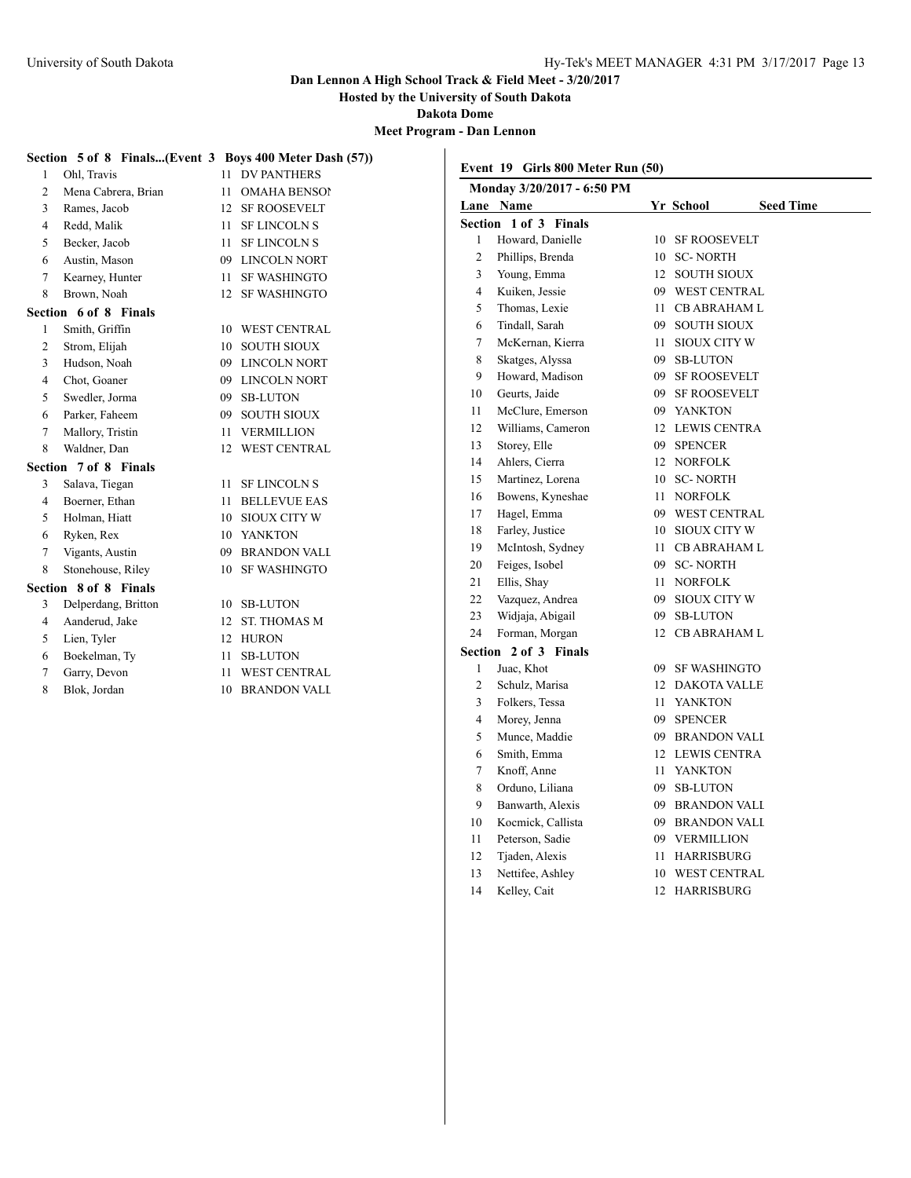**Hosted by the University of South Dakota**

**Dakota Dome**

**Meet Program - Dan Lennon**

|   | Section 5 of 8 Finals(Event 3 Boys 400 Meter Dash (57)) |    |                     |                            |                                   |    |                               |  |
|---|---------------------------------------------------------|----|---------------------|----------------------------|-----------------------------------|----|-------------------------------|--|
|   | Ohl, Travis                                             |    | 11 DV PANTHERS      |                            | Event 19 Girls 800 Meter Run (50) |    |                               |  |
| 2 | Mena Cabrera, Brian                                     | 11 | <b>OMAHA BENSO!</b> | Monday 3/20/2017 - 6:50 PM |                                   |    |                               |  |
| 3 | Rames, Jacob                                            | 12 | <b>SF ROOSEVELT</b> |                            | Lane Name                         |    | Yr School<br><b>Seed Time</b> |  |
| 4 | Redd, Malik                                             | 11 | <b>SF LINCOLN S</b> |                            | Section 1 of 3 Finals             |    |                               |  |
| 5 | Becker, Jacob                                           |    | 11 SF LINCOLN S     |                            | Howard, Danielle                  |    | 10 SF ROOSEVELT               |  |
| 6 | Austin, Mason                                           | 09 | <b>LINCOLN NORT</b> | $\overline{2}$             | Phillips, Brenda                  |    | 10 SC-NORTH                   |  |
|   | Kearney, Hunter                                         | 11 | <b>SF WASHINGTO</b> | 3                          | Young, Emma                       |    | 12 SOUTH SIOUX                |  |
| 8 | Brown, Noah                                             |    | 12 SF WASHINGTO     | 4                          | Kuiken, Jessie                    | 09 | <b>WEST CENTRAL</b>           |  |
|   | Section 6 of 8 Finals                                   |    |                     | 5                          | Thomas, Lexie                     |    | 11 CB ABRAHAM L               |  |
|   | Smith, Griffin                                          | 10 | <b>WEST CENTRAL</b> | 6                          | Tindall, Sarah                    | 09 | <b>SOUTH SIOUX</b>            |  |
| 2 | Strom, Elijah                                           | 10 | <b>SOUTH SIOUX</b>  | 7                          | McKernan, Kierra                  |    | 11 SIOUX CITY W               |  |
| 3 | Hudson, Noah                                            | 09 | <b>LINCOLN NORT</b> | 8                          | Skatges, Alyssa                   | 09 | <b>SB-LUTON</b>               |  |
| 4 | Chot, Goaner                                            | 09 | <b>LINCOLN NORT</b> | 9                          | Howard, Madison                   | 09 | <b>SF ROOSEVELT</b>           |  |
| 5 | Swedler, Jorma                                          | 09 | <b>SB-LUTON</b>     | 10                         | Geurts, Jaide                     | 09 | <b>SF ROOSEVELT</b>           |  |
| 6 | Parker, Faheem                                          | 09 | <b>SOUTH SIOUX</b>  | 11                         | McClure, Emerson                  | 09 | YANKTON                       |  |
|   | Mallory, Tristin                                        | 11 | <b>VERMILLION</b>   | 12                         | Williams, Cameron                 |    | 12 LEWIS CENTRA               |  |
| 8 | Waldner, Dan                                            | 12 | <b>WEST CENTRAL</b> | 13                         | Storey, Elle                      |    | 09 SPENCER                    |  |
|   | Section 7 of 8 Finals                                   |    |                     | 14                         | Ahlers, Cierra                    |    | 12 NORFOLK                    |  |
| 3 | Salava, Tiegan                                          | 11 | <b>SF LINCOLN S</b> | 15                         | Martinez, Lorena                  |    | 10 SC-NORTH                   |  |
| 4 | Boerner, Ethan                                          | 11 | <b>BELLEVUE EAS</b> | 16                         | Bowens, Kyneshae                  |    | 11 NORFOLK                    |  |
| 5 | Holman, Hiatt                                           | 10 | <b>SIOUX CITY W</b> | 17                         | Hagel, Emma                       | 09 | <b>WEST CENTRAL</b>           |  |
| 6 | Ryken, Rex                                              |    | 10 YANKTON          | 18                         | Farley, Justice                   | 10 | SIOUX CITY W                  |  |
|   | Vigants, Austin                                         | 09 | <b>BRANDON VALL</b> | 19                         | McIntosh, Sydney                  |    | 11 CB ABRAHAM L               |  |
| 8 | Stonehouse, Riley                                       |    | 10 SF WASHINGTO     | 20                         | Feiges, Isobel                    |    | 09 SC-NORTH                   |  |
|   | Section 8 of 8 Finals                                   |    |                     | 21                         | Ellis, Shay                       |    | 11 NORFOLK                    |  |
| 3 | Delperdang, Britton                                     |    | 10 SB-LUTON         | 22                         | Vazquez, Andrea                   | 09 | SIOUX CITY W                  |  |
| 4 | Aanderud, Jake                                          |    | 12 ST. THOMAS M     | 23                         | Widjaja, Abigail                  | 09 | <b>SB-LUTON</b>               |  |
| 5 | Lien, Tyler                                             |    | 12 HURON            | 24                         | Forman, Morgan                    |    | 12 CB ABRAHAM L               |  |
| 6 | Boekelman, Ty                                           | 11 | <b>SB-LUTON</b>     |                            | Section 2 of 3 Finals             |    |                               |  |
|   | Garry, Devon                                            | 11 | <b>WEST CENTRAL</b> | 1                          | Juac, Khot                        |    | 09 SF WASHINGTO               |  |
| 8 | Blok, Jordan                                            |    | 10 BRANDON VALI     | $\overline{2}$             | Schulz, Marisa                    |    | 12 DAKOTA VALLE               |  |
|   |                                                         |    |                     | 3                          | Folkers, Tessa                    |    | 11 YANKTON                    |  |
|   |                                                         |    |                     | 4                          | Morey, Jenna                      |    | 09 SPENCER                    |  |
|   |                                                         |    |                     | 5                          | Munce, Maddie                     |    | <b>BRANDON VALL</b>           |  |
|   |                                                         |    |                     | 6                          | Smith, Emma                       |    | 12 LEWIS CENTRA               |  |

Knoff, Anne 11 YANKTON

 Banwarth, Alexis 09 BRANDON VALL Kocmick, Callista 09 BRANDON VALL Peterson, Sadie 09 VERMILLION Tjaden, Alexis 11 HARRISBURG Nettifee, Ashley 10 WEST CENTRAL 14 Kelley, Cait 12 HARRISBURG

8 Orduno, Liliana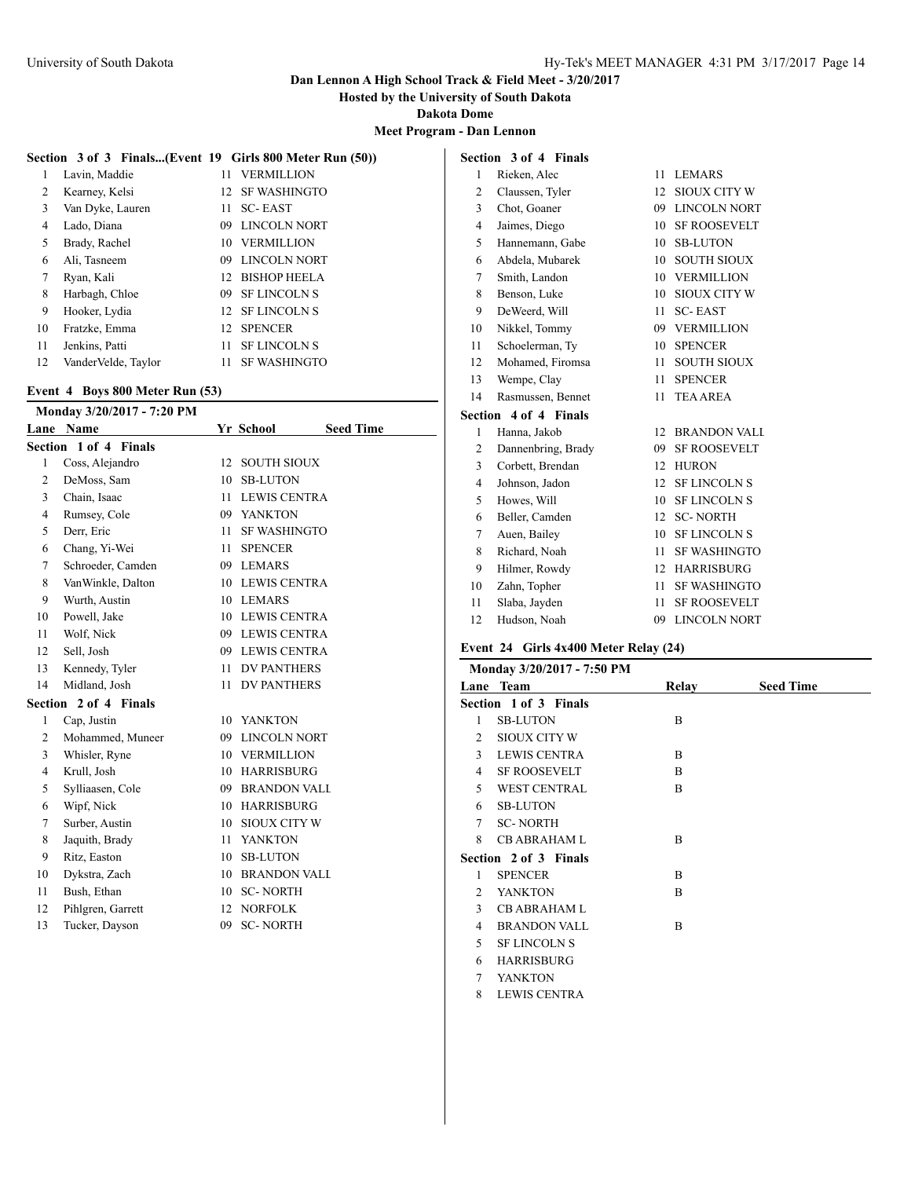**Hosted by the University of South Dakota**

**Dakota Dome**

**Meet Program - Dan Lennon**

### **Section 3 of 3 Finals...(Event 19 Girls 800 Meter Run (50))**

| 1  | Lavin, Maddie       | 11              | <b>VERMILLION</b>   |
|----|---------------------|-----------------|---------------------|
| 2  | Kearney, Kelsi      | 12.             | <b>SF WASHINGTO</b> |
| 3  | Van Dyke, Lauren    | 11              | <b>SC-EAST</b>      |
| 4  | Lado, Diana         | 09              | <b>LINCOLN NORT</b> |
| 5  | Brady, Rachel       | 10              | <b>VERMILLION</b>   |
| 6  | Ali, Tasneem        | 09              | <b>LINCOLN NORT</b> |
| 7  | Ryan, Kali          |                 | 12 BISHOP HEELA     |
| 8  | Harbagh, Chloe      | 09              | <b>SF LINCOLN S</b> |
| 9  | Hooker, Lydia       | 12 <sup>7</sup> | <b>SF LINCOLN S</b> |
| 10 | Fratzke, Emma       | 12              | <b>SPENCER</b>      |
| 11 | Jenkins, Patti      | 11              | <b>SF LINCOLN S</b> |
| 12 | VanderVelde, Taylor |                 | <b>SF WASHINGTO</b> |

### **Event 4 Boys 800 Meter Run (53)**

|                       | Monday 3/20/2017 - 7:20 PM |     |                               |  |  |  |  |  |  |
|-----------------------|----------------------------|-----|-------------------------------|--|--|--|--|--|--|
|                       | Lane Name                  |     | <b>Seed Time</b><br>Yr School |  |  |  |  |  |  |
| Section 1 of 4 Finals |                            |     |                               |  |  |  |  |  |  |
| 1                     | Coss, Alejandro            | 12  | <b>SOUTH SIOUX</b>            |  |  |  |  |  |  |
| $\overline{c}$        | DeMoss, Sam                | 10  | <b>SB-LUTON</b>               |  |  |  |  |  |  |
| 3                     | Chain, Isaac               | 11  | <b>LEWIS CENTRA</b>           |  |  |  |  |  |  |
| $\overline{4}$        | Rumsey, Cole               |     | 09 YANKTON                    |  |  |  |  |  |  |
| 5                     | Derr, Eric                 | 11  | <b>SF WASHINGTO</b>           |  |  |  |  |  |  |
| 6                     | Chang, Yi-Wei              | 11  | <b>SPENCER</b>                |  |  |  |  |  |  |
| 7                     | Schroeder, Camden          |     | 09 LEMARS                     |  |  |  |  |  |  |
| 8                     | VanWinkle, Dalton          |     | 10 LEWIS CENTRA               |  |  |  |  |  |  |
| 9                     | Wurth, Austin              |     | 10 LEMARS                     |  |  |  |  |  |  |
| 10                    | Powell, Jake               |     | 10 LEWIS CENTRA               |  |  |  |  |  |  |
| 11                    | Wolf, Nick                 |     | 09 LEWIS CENTRA               |  |  |  |  |  |  |
| 12                    | Sell, Josh                 |     | 09 LEWIS CENTRA               |  |  |  |  |  |  |
| 13                    | Kennedy, Tyler             |     | 11 DV PANTHERS                |  |  |  |  |  |  |
| 14                    | Midland, Josh              | 11  | <b>DV PANTHERS</b>            |  |  |  |  |  |  |
|                       | Section 2 of 4 Finals      |     |                               |  |  |  |  |  |  |
| 1                     | Cap, Justin                | 10  | <b>YANKTON</b>                |  |  |  |  |  |  |
| $\mathfrak{2}$        | Mohammed, Muneer           | 09  | <b>LINCOLN NORT</b>           |  |  |  |  |  |  |
| 3                     | Whisler, Ryne              |     | 10 VERMILLION                 |  |  |  |  |  |  |
| $\overline{4}$        | Krull, Josh                |     | 10 HARRISBURG                 |  |  |  |  |  |  |
| 5                     | Sylliaasen, Cole           |     | 09 BRANDON VALL               |  |  |  |  |  |  |
| 6                     | Wipf, Nick                 | 10  | <b>HARRISBURG</b>             |  |  |  |  |  |  |
| 7                     | Surber, Austin             | 10  | <b>SIOUX CITY W</b>           |  |  |  |  |  |  |
| 8                     | Jaquith, Brady             | 11. | <b>YANKTON</b>                |  |  |  |  |  |  |
| 9                     | Ritz, Easton               | 10  | <b>SB-LUTON</b>               |  |  |  |  |  |  |
| 10                    | Dykstra, Zach              |     | 10 BRANDON VALL               |  |  |  |  |  |  |
| 11                    | Bush, Ethan                | 10  | <b>SC-NORTH</b>               |  |  |  |  |  |  |
| 12                    | Pihlgren, Garrett          | 12  | <b>NORFOLK</b>                |  |  |  |  |  |  |
| 13                    | Tucker, Dayson             | 09  | <b>SC-NORTH</b>               |  |  |  |  |  |  |
|                       |                            |     |                               |  |  |  |  |  |  |

| Section 3 of 4 Finals |                       |                 |                     |  |  |
|-----------------------|-----------------------|-----------------|---------------------|--|--|
| 1                     | Rieken, Alec          | 11              | <b>LEMARS</b>       |  |  |
| $\overline{2}$        | Claussen, Tyler       | 12              | SIOUX CITY W        |  |  |
| 3                     | Chot, Goaner          | 09              | <b>LINCOLN NORT</b> |  |  |
| 4                     | Jaimes, Diego         | 10              | <b>SF ROOSEVELT</b> |  |  |
| 5                     | Hannemann, Gabe       | 10              | <b>SB-LUTON</b>     |  |  |
| 6                     | Abdela, Mubarek       | 10              | <b>SOUTH SIOUX</b>  |  |  |
| 7                     | Smith, Landon         | 10              | <b>VERMILLION</b>   |  |  |
| 8                     | Benson, Luke          | 10              | <b>SIOUX CITY W</b> |  |  |
| 9                     | DeWeerd, Will         | 11              | <b>SC-EAST</b>      |  |  |
| 10                    | Nikkel, Tommy         |                 | 09 VERMILLION       |  |  |
| 11                    | Schoelerman, Tv       | $10-10$         | <b>SPENCER</b>      |  |  |
| 12                    | Mohamed, Firomsa      | 11              | <b>SOUTH SIOUX</b>  |  |  |
| 13                    | Wempe, Clay           | 11              | <b>SPENCER</b>      |  |  |
| 14                    | Rasmussen, Bennet     | 11              | <b>TEA AREA</b>     |  |  |
|                       | Section 4 of 4 Finals |                 |                     |  |  |
| 1                     | Hanna, Jakob          | 12              | <b>BRANDON VALI</b> |  |  |
| 2                     | Dannenbring, Brady    | 09              | <b>SF ROOSEVELT</b> |  |  |
| 3                     | Corbett, Brendan      | 12              | <b>HURON</b>        |  |  |
| 4                     | Johnson, Jadon        | 12              | <b>SF LINCOLN S</b> |  |  |
| 5                     | Howes, Will           | 10              | <b>SF LINCOLN S</b> |  |  |
| 6                     | Beller, Camden        | 12 <sup>2</sup> | <b>SC-NORTH</b>     |  |  |
| 7                     | Auen, Bailey          | 10              | <b>SF LINCOLN S</b> |  |  |
| 8                     | Richard, Noah         | 11              | <b>SF WASHINGTO</b> |  |  |
| 9                     | Hilmer, Rowdy         | 12              | <b>HARRISBURG</b>   |  |  |
| 10                    | Zahn, Topher          | 11              | <b>SF WASHINGTO</b> |  |  |
| 11                    | Slaba, Javden         | 11              | <b>SF ROOSEVELT</b> |  |  |

Hudson, Noah 09 LINCOLN NORT

### **Event 24 Girls 4x400 Meter Relay (24)**

| Monday 3/20/2017 - 7:50 PM  |                       |                |                  |  |  |  |
|-----------------------------|-----------------------|----------------|------------------|--|--|--|
|                             | Lane Team             | Relay          | <b>Seed Time</b> |  |  |  |
|                             | Section 1 of 3 Finals |                |                  |  |  |  |
| 1                           | <b>SB-LUTON</b>       | B              |                  |  |  |  |
| 2                           | <b>SIOUX CITY W</b>   |                |                  |  |  |  |
| 3                           | <b>LEWIS CENTRA</b>   | B              |                  |  |  |  |
| 4                           | <b>SF ROOSEVELT</b>   | B              |                  |  |  |  |
| 5                           | <b>WEST CENTRAL</b>   | B              |                  |  |  |  |
| 6                           | <b>SB-LUTON</b>       |                |                  |  |  |  |
| 7                           | <b>SC-NORTH</b>       |                |                  |  |  |  |
| 8                           | <b>CB ABRAHAM L</b>   | B              |                  |  |  |  |
|                             | Section 2 of 3 Finals |                |                  |  |  |  |
| 1                           | <b>SPENCER</b>        | B              |                  |  |  |  |
| $\mathcal{D}_{\mathcal{L}}$ | <b>YANKTON</b>        | $\overline{B}$ |                  |  |  |  |
| 3                           | <b>CB ABRAHAM L</b>   |                |                  |  |  |  |
| 4                           | <b>BRANDON VALL</b>   | B              |                  |  |  |  |
| 5                           | <b>SF LINCOLN S</b>   |                |                  |  |  |  |
| 6                           | <b>HARRISBURG</b>     |                |                  |  |  |  |
| 7                           | <b>YANKTON</b>        |                |                  |  |  |  |
| 8                           | <b>LEWIS CENTRA</b>   |                |                  |  |  |  |